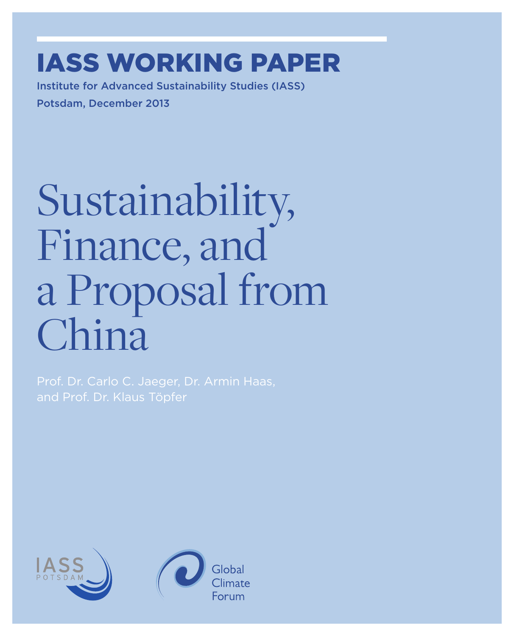### IASS WorkING paper

Institute for Advanced Sustainability Studies (IASS) Potsdam, December 2013

# Sustainability, Finance, and a Proposal from China

Prof. Dr. Carlo C. Jaeger, Dr. Armin Haas,

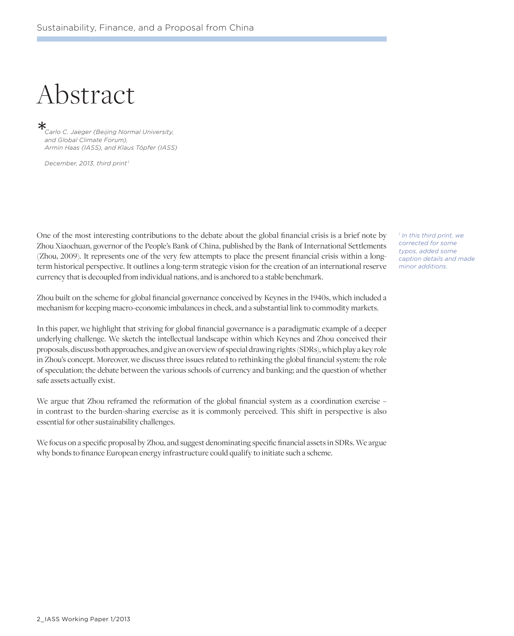### Abstract

*Carlo C. Jaeger (Beijing Normal University, and Global Climate Forum), Armin Haas (IASS), and Klaus Töpfer (IASS)*  $\ast$ 

*December, 2013, third print 1*

One of the most interesting contributions to the debate about the global financial crisis is a brief note by Zhou Xiaochuan, governor of the People's Bank of China, published by the Bank of International Settlements (Zhou, 2009). It represents one of the very few attempts to place the present financial crisis within a longterm historical perspective. It outlines a long-term strategic vision for the creation of an international reserve currency that is decoupled from individual nations, and is anchored to a stable benchmark.

Zhou built on the scheme for global financial governance conceived by Keynes in the 1940s, which included a mechanism for keeping macro-economic imbalances in check, and a substantial link to commodity markets.

In this paper, we highlight that striving for global financial governance is a paradigmatic example of a deeper underlying challenge. We sketch the intellectual landscape within which Keynes and Zhou conceived their proposals, discuss both approaches, and give an overview of special drawing rights (SDRs), which play a key role in Zhou's concept. Moreover, we discuss three issues related to rethinking the global financial system: the role of speculation; the debate between the various schools of currency and banking; and the question of whether safe assets actually exist.

We argue that Zhou reframed the reformation of the global financial system as a coordination exercise – in contrast to the burden-sharing exercise as it is commonly perceived. This shift in perspective is also essential for other sustainability challenges.

We focus on a specific proposal by Zhou, and suggest denominating specific financial assets in SDRs. We argue why bonds to finance European energy infrastructure could qualify to initiate such a scheme.

*1 In this third print, we corrected for some typos, added some caption details and made minor additions.*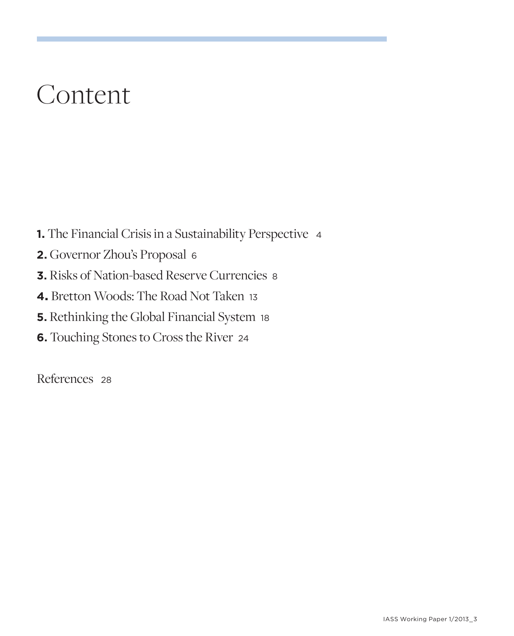### Content

- **1.** The Financial Crisis in a Sustainability Perspective <sup>4</sup>
- **2.** Governor Zhou's Proposal <sup>6</sup>
- **3.** Risks of Nation-based Reserve Currencies <sup>8</sup>
- **4.** Bretton Woods: The Road Not Taken <sup>13</sup>
- **5.** Rethinking the Global Financial System 18
- **6.** Touching Stones to Cross the River <sup>24</sup>

References <sup>28</sup>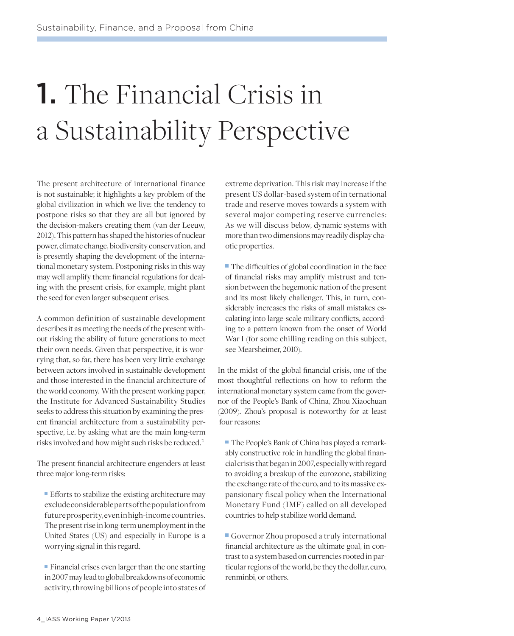# 1. The Financial Crisis in a Sustainability Perspective

The present architecture of international finance is not sustainable; it highlights a key problem of the global civilization in which we live: the tendency to postpone risks so that they are all but ignored by the decision-makers creating them (van der Leeuw, 2012). This pattern has shaped the histories of nuclear power, climate change, biodiversity conservation, and is presently shaping the development of the international monetary system. Postponing risks in this way may well amplify them: financial regulations for dealing with the present crisis, for example, might plant the seed for even larger subsequent crises.

A common definition of sustainable development describes it as meeting the needs of the present without risking the ability of future generations to meet their own needs. Given that perspective, it is worrying that, so far, there has been very little exchange between actors involved in sustainable development and those interested in the financial architecture of the world economy. With the present working paper, the Institute for Advanced Sustainability Studies seeks to address this situation by examining the present financial architecture from a sustainability perspective, i.e. by asking what are the main long-term risks involved and how might such risks be reduced. 2

The present financial architecture engenders at least three major long-term risks:

 Efforts to stabilize the existing architecture may exclude considerable parts of the population from future prosperity, even in high-income countries. The present rise in long-term unemployment in the United States (US) and especially in Europe is a worrying signal in this regard.

 Financial crises even larger than the one starting in 2007 may lead to global breakdowns of economic activity, throwing billions of people into states of

extreme deprivation. This risk may increase if the present US dollar-based system of in ternational trade and reserve moves towards a system with several major competing reserve currencies: As we will discuss below, dynamic systems with more than two dimensions may readily display chaotic properties.

 The difficulties of global coordination in the face of financial risks may amplify mistrust and tension between the hegemonic nation of the present and its most likely challenger. This, in turn, considerably increases the risks of small mistakes escalating into large-scale military conflicts, according to a pattern known from the onset of World War I (for some chilling reading on this subject, see Mearsheimer, 2010).

In the midst of the global financial crisis, one of the most thoughtful reflections on how to reform the international monetary system came from the governor of the People's Bank of China, Zhou Xiaochuan (2009). Zhou's proposal is noteworthy for at least four reasons:

 The People's Bank of China has played a remarkably constructive role in handling the global financial crisis that began in 2007, especially with regard to avoiding a breakup of the eurozone, stabilizing the exchange rate of the euro, and to its massive expansionary fiscal policy when the International Monetary Fund (IMF) called on all developed countries to help stabilize world demand.

 Governor Zhou proposed a truly international financial architecture as the ultimate goal, in contrast to a system based on currencies rooted in particular regions of the world, be they the dollar, euro, renminbi, or others.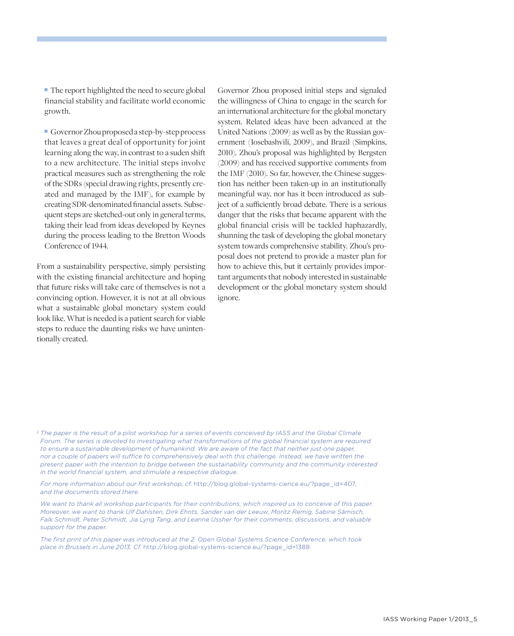■ The report highlighted the need to secure global financial stability and facilitate world economic growth.

 Governor Zhou proposed a step-by-step process that leaves a great deal of opportunity for joint learning along the way, in contrast to a suden shift to a new architecture. The initial steps involve practical measures such as strengthening the role of the SDRs (special drawing rights, presently created and managed by the IMF), for example by creating SDR-denominated financial assets. Subsequent steps are sketched-out only in general terms, taking their lead from ideas developed by Keynes during the process leading to the Bretton Woods Conference of 1944.

From a sustainability perspective, simply persisting with the existing financial architecture and hoping that future risks will take care of themselves is not a convincing option. However, it is not at all obvious what a sustainable global monetary system could look like. What is needed is a patient search for viable steps to reduce the daunting risks we have unintentionally created.

Governor Zhou proposed initial steps and signaled the willingness of China to engage in the search for an international architecture for the global monetary system. Related ideas have been advanced at the United Nations (2009) as well as by the Russian government (Iosebashvili, 2009), and Brazil (Simpkins, 2010). Zhou's proposal was highlighted by Bergsten (2009) and has received supportive comments from the IMF (2010). So far, however, the Chinese suggestion has neither been taken-up in an institutionally meaningful way, nor has it been introduced as subject of a sufficiently broad debate. There is a serious danger that the risks that became apparent with the global financial crisis will be tackled haphazardly, shunning the task of developing the global monetary system towards comprehensive stability. Zhou's proposal does not pretend to provide a master plan for how to achieve this, but it certainly provides important arguments that nobody interested in sustainable development or the global monetary system should ignore.

*2 The paper is the result of a pilot workshop for a series of events conceived by IASS and the Global Climate Forum. The series is devoted to investigating what transformations of the global financial system are required to ensure a sustainable development of humankind. We are aware of the fact that neither just one paper, nor a couple of papers will suffice to comprehensively deal with this challenge. Instead, we have written the present paper with the intention to bridge between the sustainability community and the community interested in the world financial system, and stimulate a respective dialogue.* 

*For more information about our first workshop, cf.* http://blog.global-systems-cience.eu/?page\_id=407, *and the documents stored there.*

*We want to thank all workshop participants for their contributions, which inspired us to conceive of this paper. Moreover, we want to thank Ulf Dahlsten, Dirk Ehnts, Sander van der Leeuw, Moritz Remig, Sabine Sämisch, Falk Schmidt, Peter Schmidt, Jia Lyng Tang, and Leanne Ussher for their comments, discussions, and valuable support for the paper.*

*The first print of this paper was introduced at the 2. Open Global Systems Science Conference, which took place in Brussels in June 2013. Cf.* http://blog.global-systems-science.eu/?page\_id=1388.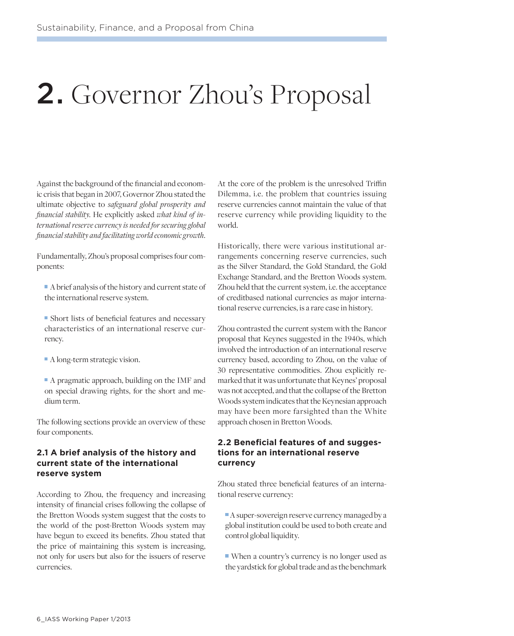### 2. Governor Zhou's Proposal

Against the background of the financial and economic crisis that began in 2007, Governor Zhou stated the ultimate objective to *safeguard global prosperity and financial stability*. He explicitly asked *what kind of international reserve currency is needed for securing global financial stability and facilitating world economic growth*.

Fundamentally, Zhou's proposal comprises four components:

- A brief analysis of the history and current state of the international reserve system.
- Short lists of beneficial features and necessary characteristics of an international reserve currency.
- A long-term strategic vision.
- A pragmatic approach, building on the IMF and on special drawing rights, for the short and medium term.

The following sections provide an overview of these four components.

#### **2.1 A brief analysis of the history and current state of the international reserve system**

According to Zhou, the frequency and increasing intensity of financial crises following the collapse of the Bretton Woods system suggest that the costs to the world of the post-Bretton Woods system may have begun to exceed its benefits. Zhou stated that the price of maintaining this system is increasing, not only for users but also for the issuers of reserve currencies.

At the core of the problem is the unresolved Triffin Dilemma, i.e. the problem that countries issuing reserve currencies cannot maintain the value of that reserve currency while providing liquidity to the world.

Historically, there were various institutional arrangements concerning reserve currencies, such as the Silver Standard, the Gold Standard, the Gold Exchange Standard, and the Bretton Woods system. Zhou held that the current system, i.e. the acceptance of creditbased national currencies as major international reserve currencies, is a rare case in history.

Zhou contrasted the current system with the Bancor proposal that Keynes suggested in the 1940s, which involved the introduction of an international reserve currency based, according to Zhou, on the value of 30 representative commodities. Zhou explicitly remarked that it was unfortunate that Keynes' proposal was not accepted, and that the collapse of the Bretton Woods system indicates that the Keynesian approach may have been more farsighted than the White approach chosen in Bretton Woods.

#### **2.2 Beneficial features of and suggestions for an international reserve currency**

Zhou stated three beneficial features of an international reserve currency:

 A super-sovereign reserve currency managed by a global institution could be used to both create and control global liquidity.

 When a country's currency is no longer used as the yardstick for global trade and as the benchmark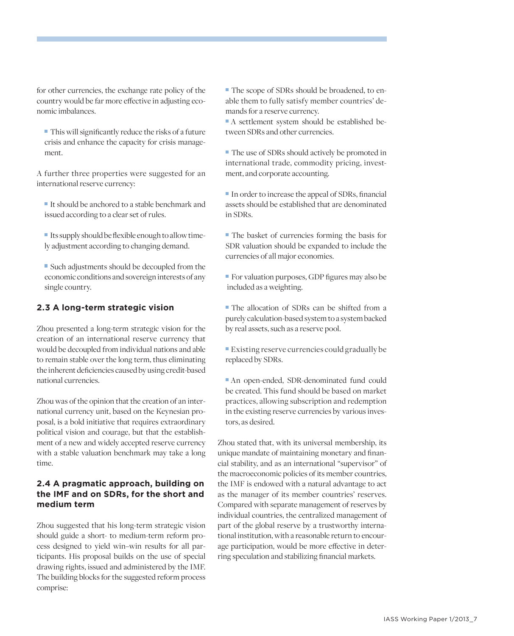for other currencies, the exchange rate policy of the country would be far more effective in adjusting economic imbalances.

 This will significantly reduce the risks of a future crisis and enhance the capacity for crisis management.

A further three properties were suggested for an international reserve currency:

- It should be anchored to a stable benchmark and issued according to a clear set of rules.
- Its supply should be flexible enough to allow timely adjustment according to changing demand.

 Such adjustments should be decoupled from the economic conditions and sovereign interests of any single country.

#### **2.3 A long-term strategic vision**

Zhou presented a long-term strategic vision for the creation of an international reserve currency that would be decoupled from individual nations and able to remain stable over the long term, thus eliminating the inherent deficiencies caused by using credit-based national currencies.

Zhou was of the opinion that the creation of an international currency unit, based on the Keynesian proposal, is a bold initiative that requires extraordinary political vision and courage, but that the establishment of a new and widely accepted reserve currency with a stable valuation benchmark may take a long time.

#### **2.4 A pragmatic approach, building on the IMF and on SDRs, for the short and medium term**

Zhou suggested that his long-term strategic vision should guide a short- to medium-term reform process designed to yield win–win results for all participants. His proposal builds on the use of special drawing rights, issued and administered by the IMF. The building blocks for the suggested reform process comprise:

 The scope of SDRs should be broadened, to enable them to fully satisfy member countries' demands for a reserve currency.

 A settlement system should be established between SDRs and other currencies.

 The use of SDRs should actively be promoted in international trade, commodity pricing, investment, and corporate accounting.

- In order to increase the appeal of SDRs, financial assets should be established that are denominated in SDRs.
- The basket of currencies forming the basis for SDR valuation should be expanded to include the currencies of all major economies.
- For valuation purposes, GDP figures may also be included as a weighting.
- The allocation of SDRs can be shifted from a purely calculation-based system to a system backed by real assets, such as a reserve pool.
- Existing reserve currencies could gradually be replaced by SDRs.
- An open-ended, SDR-denominated fund could be created. This fund should be based on market practices, allowing subscription and redemption in the existing reserve currencies by various investors, as desired.

Zhou stated that, with its universal membership, its unique mandate of maintaining monetary and financial stability, and as an international "supervisor" of the macroeconomic policies of its member countries, the IMF is endowed with a natural advantage to act as the manager of its member countries' reserves. Compared with separate management of reserves by individual countries, the centralized management of part of the global reserve by a trustworthy international institution, with a reasonable return to encourage participation, would be more effective in deterring speculation and stabilizing financial markets.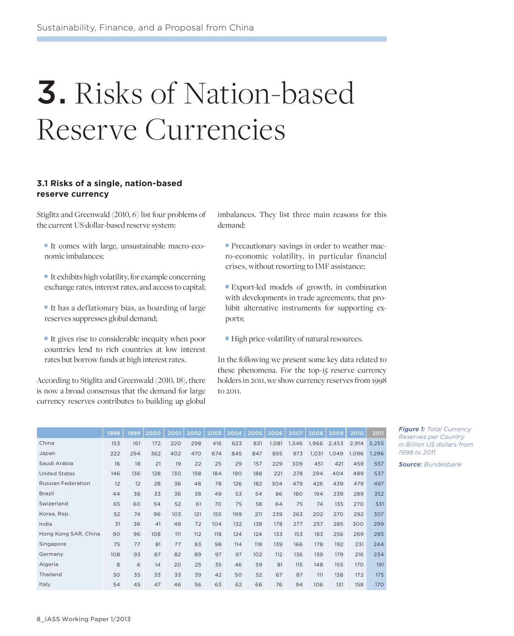# 3. Risks of Nation-based Reserve Currencies

#### **3.1 Risks of a single, nation-based reserve currency**

Stiglitz and Greenwald (2010, 6) list four problems of the current US dollar-based reserve system:

- It comes with large, unsustainable macro-economic imbalances;
- It exhibits high volatility, for example concerning exchange rates, interest rates, and access to capital;
- It has a deflationary bias, as hoarding of large reserves suppresses global demand;
- It gives rise to considerable inequity when poor countries lend to rich countries at low interest rates but borrow funds at high interest rates.

According to Stiglitz and Greenwald (2010, 18), there is now a broad consensus that the demand for large currency reserves contributes to building up global

imbalances. They list three main reasons for this demand:

- Precautionary savings in order to weather macro-economic volatility, in particular financial crises, without resorting to IMF assistance;
- Export-led models of growth, in combination with developments in trade agreements, that prohibit alternative instruments for supporting exports;
- High price-volatility of natural resources.

In the following we present some key data related to these phenomena. For the top-15 reserve currency holders in 2011, we show currency reserves from 1998 to 2011.

|                           | 1998 | 1999 | 2000 | 2001 | 2002 | 2003 | 2004 | 2005 | 2006  | 2007  | 2008  | 2009  | 2010  | 2011       |
|---------------------------|------|------|------|------|------|------|------|------|-------|-------|-------|-------|-------|------------|
| China                     | 153  | 161  | 172  | 220  | 298  | 416  | 623  | 831  | 1,081 | 1,546 | 1,966 | 2,453 | 2,914 | 3,255      |
| Japan                     | 222  | 294  | 362  | 402  | 470  | 674  | 845  | 847  | 895   | 973   | 1,031 | 1,049 | 1,096 | 1,296      |
| Saudi Arabia              | 16   | 18   | 21   | 19   | 22   | 25   | 29   | 157  | 229   | 309   | 451   | 421   | 459   | 557        |
| <b>United States</b>      | 146  | 136  | 128  | 130  | 158  | 184  | 190  | 188  | 221   | 278   | 294   | 404   | 489   | 537        |
| <b>Russian Federation</b> | 12   | 12   | 28   | 36   | 48   | 78   | 126  | 182  | 304   | 479   | 426   | 439   | 479   | 497        |
| <b>Brazil</b>             | 44   | 36   | 33   | 36   | 38   | 49   | 53   | 54   | 86    | 180   | 194   | 239   | 289   | 352        |
| Swizerland                | 65   | 60   | 54   | 52   | 61   | 70   | 75   | 58   | 64    | 75    | 74    | 135   | 270   | 331        |
| Korea, Rep.               | 52   | 74   | 96   | 103  | 121  | 155  | 199  | 211  | 239   | 263   | 202   | 270   | 292   | 307        |
| India                     | 31   | 36   | 41   | 49   | 72   | 104  | 132  | 138  | 178   | 277   | 257   | 285   | 300   | 299        |
| Hong Kong SAR, China      | 90   | 96   | 108  | 111  | 112  | 118  | 124  | 124  | 133   | 153   | 183   | 256   | 269   | 285        |
| Singapore                 | 75   | 77   | 81   | 77   | 83   | 98   | 114  | 118  | 139   | 166   | 178   | 192   | 231   | 244        |
| Germany                   | 108  | 93   | 87   | 82   | 89   | 97   | 97   | 102  | 112   | 136   | 139   | 179   | 216   | 234        |
| Algeria                   | 8    | 6    | 14   | 20   | 25   | 35   | 46   | 59   | 81    | 115   | 148   | 155   | 170   | 191        |
| Thailand                  | 30   | 35   | 33   | 33   | 39   | 42   | 50   | 52   | 67    | 87    | 111   | 138   | 172   | 175        |
| Italy                     | 54   | 45   | 47   | 46   | 56   | 63   | 62   | 66   | 76    | 94    | 106   | 131   | 158   | <b>170</b> |

*Figure 1: Total Currency Reserves per Country in Billion US dollars from 1998 to 2011*

*Source: Bundesbank*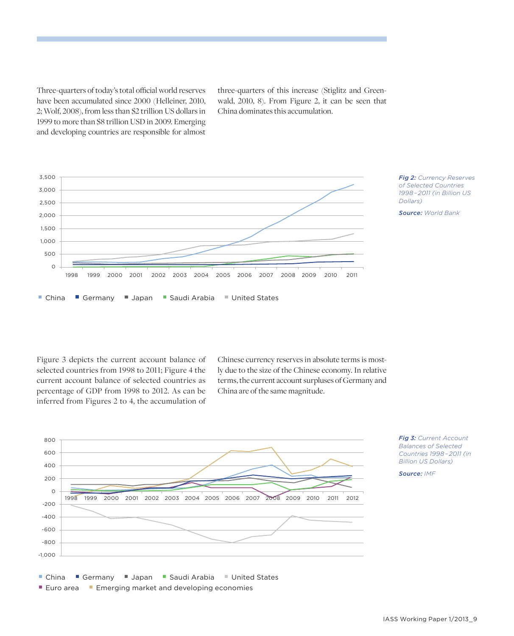Three-quarters of today's total official world reserves have been accumulated since 2000 (Helleiner, 2010, 2; Wolf, 2008), from less than \$2 trillion US dollars in 1999 to more than \$8 trillion USD in 2009. Emerging and developing countries are responsible for almost

three-quarters of this increase (Stiglitz and Greenwald, 2010, 8). From Figure 2, it can be seen that China dominates this accumulation.



Figure 3 depicts the current account balance of selected countries from 1998 to 2011; Figure 4 the current account balance of selected countries as percentage of GDP from 1998 to 2012. As can be inferred from Figures 2 to 4, the accumulation of Chinese currency reserves in absolute terms is mostly due to the size of the Chinese economy. In relative terms, the current account surpluses of Germany and China are of the same magnitude.



*Fig 3: Current Account Balances of Selected Countries 1998 – 2011 (in Billion US Dollars)*

*Source: IMF*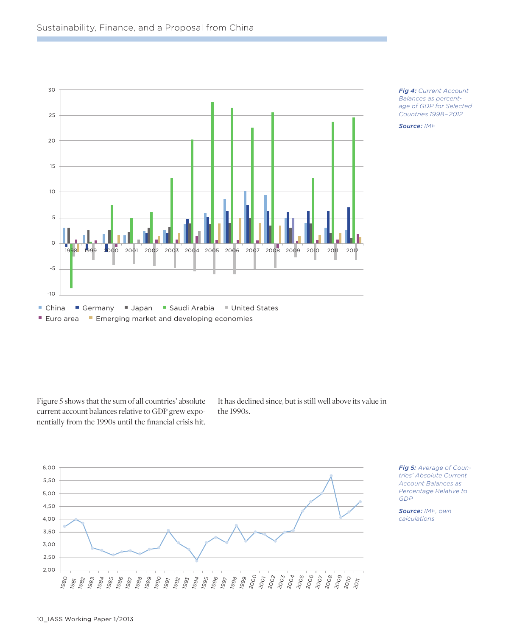



*Fig 4: Current Account Balances as percentage of GDP for Selected Countries 1998 – 2012*

*Source: IMF*

Figure 5 shows that the sum of all countries' absolute current account balances relative to GDP grew exponentially from the 1990s until the financial crisis hit.

It has declined since, but is still well above its value in the 1990s.

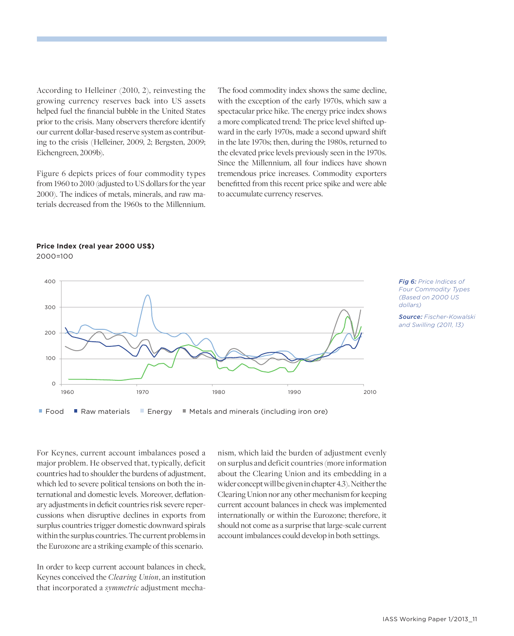According to Helleiner (2010, 2), reinvesting the growing currency reserves back into US assets helped fuel the financial bubble in the United States prior to the crisis. Many observers therefore identify our current dollar-based reserve system as contributing to the crisis (Helleiner, 2009, 2; Bergsten, 2009; Eichengreen, 2009b).

Figure 6 depicts prices of four commodity types from 1960 to 2010 (adjusted to US dollars for the year 2000). The indices of metals, minerals, and raw materials decreased from the 1960s to the Millennium. The food commodity index shows the same decline, with the exception of the early 1970s, which saw a spectacular price hike. The energy price index shows a more complicated trend: The price level shifted upward in the early 1970s, made a second upward shift in the late 1970s; then, during the 1980s, returned to the elevated price levels previously seen in the 1970s. Since the Millennium, all four indices have shown tremendous price increases. Commodity exporters benefitted from this recent price spike and were able to accumulate currency reserves.

#### **Price Index (real year 2000 US\$)** 2000=100



■ Food ■ Raw materials ■ Energy ■ Metals and minerals (including iron ore)

*Fig 6: Price Indices of Four Commodity Types (Based on 2000 US dollars)*

*Source: Fischer-Kowalski and Swilling (2011, 13)*

For Keynes, current account imbalances posed a major problem. He observed that, typically, deficit countries had to shoulder the burdens of adjustment, which led to severe political tensions on both the international and domestic levels. Moreover, deflationary adjustments in deficit countries risk severe repercussions when disruptive declines in exports from surplus countries trigger domestic downward spirals within the surplus countries. The current problems in the Eurozone are a striking example of this scenario.

In order to keep current account balances in check, Keynes conceived the *Clearing Union*, an institution that incorporated a *symmetric* adjustment mechanism, which laid the burden of adjustment evenly on surplus and deficit countries (more information about the Clearing Union and its embedding in a wider concept will be given in chapter 4.3). Neither the Clearing Union nor any other mechanism for keeping current account balances in check was implemented internationally or within the Eurozone; therefore, it should not come as a surprise that large-scale current account imbalances could develop in both settings.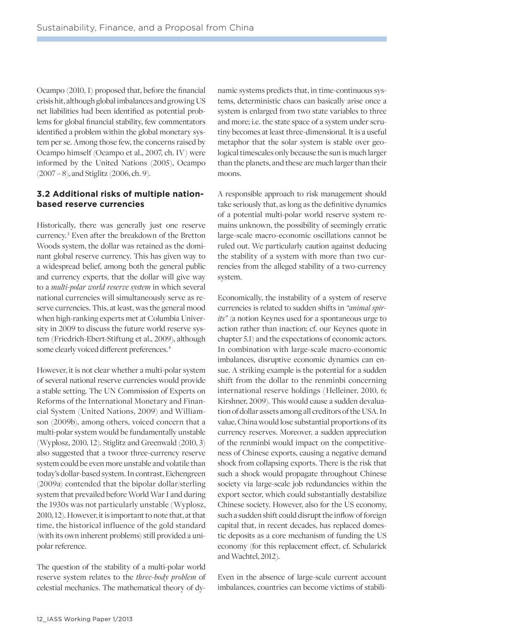Ocampo (2010, 1) proposed that, before the financial crisis hit, although global imbalances and growing US net liabilities had been identified as potential problems for global financial stability, few commentators identified a problem within the global monetary system per se. Among those few, the concerns raised by Ocampo himself (Ocampo et al., 2007, ch. IV) were informed by the United Nations (2005), Ocampo (2007 – 8), and Stiglitz (2006, ch. 9).

#### **3.2 Additional risks of multiple nationbased reserve currencies**

Historically, there was generally just one reserve currency. 3 Even after the breakdown of the Bretton Woods system, the dollar was retained as the dominant global reserve currency. This has given way to a widespread belief, among both the general public and currency experts, that the dollar will give way to a *multi-polar world reserve system* in which several national currencies will simultaneously serve as reserve currencies. This, at least, was the general mood when high-ranking experts met at Columbia University in 2009 to discuss the future world reserve system (Friedrich-Ebert-Stiftung et al., 2009), although some clearly voiced different preferences. 4

However, it is not clear whether a multi-polar system of several national reserve currencies would provide a stable setting. The UN Commission of Experts on Reforms of the International Monetary and Financial System (United Nations, 2009) and Williamson (2009b), among others, voiced concern that a multi-polar system would be fundamentally unstable (Wyplosz, 2010, 12). Stiglitz and Greenwald (2010, 3) also suggested that a twoor three-currency reserve system could be even more unstable and volatile than today's dollar-based system. In contrast, Eichengreen (2009a) contended that the bipolar dollar/sterling system that prevailed before World War I and during the 1930s was not particularly unstable (Wyplosz, 2010, 12). However, it is important to note that, at that time, the historical influence of the gold standard (with its own inherent problems) still provided a unipolar reference.

The question of the stability of a multi-polar world reserve system relates to the *three-body problem* of celestial mechanics. The mathematical theory of dynamic systems predicts that, in time-continuous systems, deterministic chaos can basically arise once a system is enlarged from two state variables to three and more; i.e. the state space of a system under scrutiny becomes at least three-dimensional. It is a useful metaphor that the solar system is stable over geological timescales only because the sun is much larger than the planets, and these are much larger than their moons.

A responsible approach to risk management should take seriously that, as long as the definitive dynamics of a potential multi-polar world reserve system remains unknown, the possibility of seemingly erratic large-scale macro-economic oscillations cannot be ruled out. We particularly caution against deducing the stability of a system with more than two currencies from the alleged stability of a two-currency system.

Economically, the instability of a system of reserve currencies is related to sudden shifts in *"animal spirits"* (a notion Keynes used for a spontaneous urge to action rather than inaction; cf. our Keynes quote in chapter 5.1) and the expectations of economic actors. In combination with large-scale macro-economic imbalances, disruptive economic dynamics can ensue. A striking example is the potential for a sudden shift from the dollar to the renminbi concerning international reserve holdings (Helleiner, 2010, 6; Kirshner, 2009). This would cause a sudden devaluation of dollar assets among all creditors of the USA. In value, China would lose substantial proportions of its currency reserves. Moreover, a sudden appreciation of the renminbi would impact on the competitiveness of Chinese exports, causing a negative demand shock from collapsing exports. There is the risk that such a shock would propagate throughout Chinese society via large-scale job redundancies within the export sector, which could substantially destabilize Chinese society. However, also for the US economy, such a sudden shift could disrupt the inflow of foreign capital that, in recent decades, has replaced domestic deposits as a core mechanism of funding the US economy (for this replacement effect, cf. Schularick and Wachtel, 2012).

Even in the absence of large-scale current account imbalances, countries can become victims of stabili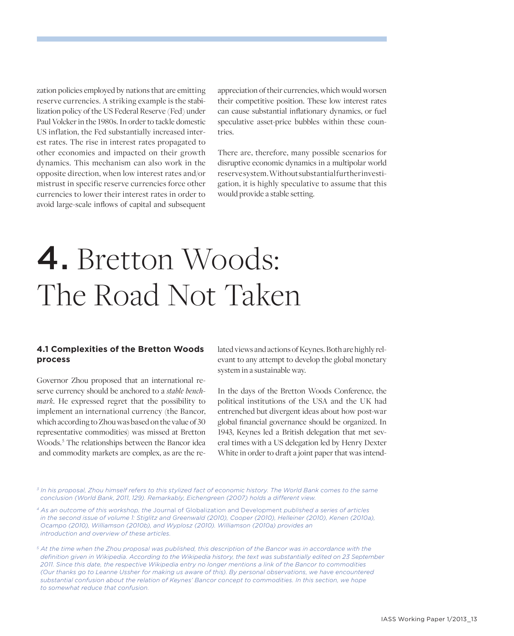zation policies employed by nations that are emitting reserve currencies. A striking example is the stabilization policy of the US Federal Reserve (Fed) under Paul Volcker in the 1980s. In order to tackle domestic US inflation, the Fed substantially increased interest rates. The rise in interest rates propagated to other economies and impacted on their growth dynamics. This mechanism can also work in the opposite direction, when low interest rates and/or mistrust in specific reserve currencies force other currencies to lower their interest rates in order to avoid large-scale inflows of capital and subsequent

appreciation of their currencies, which would worsen their competitive position. These low interest rates can cause substantial inflationary dynamics, or fuel speculative asset-price bubbles within these countries.

There are, therefore, many possible scenarios for disruptive economic dynamics in a multipolar world reserve system. Without substantial further investigation, it is highly speculative to assume that this would provide a stable setting.

# 4. Bretton Woods: The Road Not Taken

#### **4.1 Complexities of the Bretton Woods process**

Governor Zhou proposed that an international reserve currency should be anchored to a *stable benchmark.* He expressed regret that the possibility to implement an international currency (the Bancor, which according to Zhou was based on the value of 30 representative commodities) was missed at Bretton Woods.<sup>5</sup> The relationships between the Bancor idea and commodity markets are complex, as are the related views and actions of Keynes. Both are highly relevant to any attempt to develop the global monetary system in a sustainable way.

In the days of the Bretton Woods Conference, the political institutions of the USA and the UK had entrenched but divergent ideas about how post-war global financial governance should be organized. In 1943, Keynes led a British delegation that met several times with a US delegation led by Henry Dexter White in order to draft a joint paper that was intend-

*3 In his proposal, Zhou himself refers to this stylized fact of economic history. The World Bank comes to the same conclusion (World Bank, 2011, 129). Remarkably, Eichengreen (2007) holds a different view.*

*4 As an outcome of this workshop, the* Journal of Globalization and Development *published a series of articles in the second issue of volume 1: Stiglitz and Greenwald (2010), Cooper (2010), Helleiner (2010), Kenen (2010a), Ocampo (2010), Williamson (2010b), and Wyplosz (2010). Williamson (2010a) provides an introduction and overview of these articles.* 

*5 At the time when the Zhou proposal was published, this description of the Bancor was in accordance with the definition given in Wikipedia. According to the Wikipedia history, the text was substantially edited on 23 September 2011. Since this date, the respective Wikipedia entry no longer mentions a link of the Bancor to commodities (Our thanks go to Leanne Ussher for making us aware of this). By personal observations, we have encountered substantial confusion about the relation of Keynes' Bancor concept to commodities. In this section, we hope to somewhat reduce that confusion.*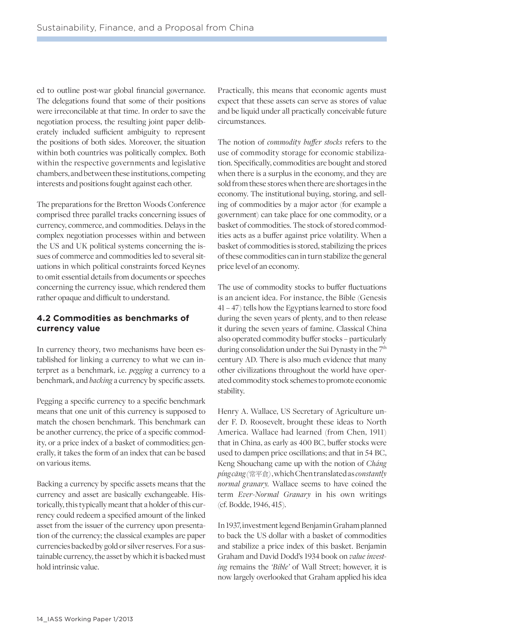ed to outline post-war global financial governance. The delegations found that some of their positions were irreconcilable at that time. In order to save the negotiation process, the resulting joint paper deliberately included sufficient ambiguity to represent the positions of both sides. Moreover, the situation within both countries was politically complex. Both within the respective governments and legislative chambers, and between these institutions, competing interests and positions fought against each other.

The preparations for the Bretton Woods Conference comprised three parallel tracks concerning issues of currency, commerce, and commodities. Delays in the complex negotiation processes within and between the US and UK political systems concerning the issues of commerce and commodities led to several situations in which political constraints forced Keynes to omit essential details from documents or speeches concerning the currency issue, which rendered them rather opaque and difficult to understand.

#### **4.2 Commodities as benchmarks of currency value**

In currency theory, two mechanisms have been established for linking a currency to what we can interpret as a benchmark, i.e. *pegging* a currency to a benchmark, and *backing* a currency by specific assets.

Pegging a specific currency to a specific benchmark means that one unit of this currency is supposed to match the chosen benchmark. This benchmark can be another currency, the price of a specific commodity, or a price index of a basket of commodities; generally, it takes the form of an index that can be based on various items.

Backing a currency by specific assets means that the currency and asset are basically exchangeable. Historically, this typically meant that a holder of this currency could redeem a specified amount of the linked asset from the issuer of the currency upon presentation of the currency; the classical examples are paper currencies backed by gold or silver reserves. For a sustainable currency, the asset by which it is backed must hold intrinsic value.

Practically, this means that economic agents must expect that these assets can serve as stores of value and be liquid under all practically conceivable future circumstances.

The notion of *commodity buffer stocks* refers to the use of commodity storage for economic stabilization. Specifically, commodities are bought and stored when there is a surplus in the economy, and they are sold from these stores when there are shortages in the economy. The institutional buying, storing, and selling of commodities by a major actor (for example a government) can take place for one commodity, or a basket of commodities. The stock of stored commodities acts as a buffer against price volatility. When a basket of commodities is stored, stabilizing the prices of these commodities can in turn stabilize the general price level of an economy.

The use of commodity stocks to buffer fluctuations is an ancient idea. For instance, the Bible (Genesis 41 – 47) tells how the Egyptians learned to store food during the seven years of plenty, and to then release it during the seven years of famine. Classical China also operated commodity buffer stocks – particularly during consolidation under the Sui Dynasty in the 7<sup>th</sup> century AD. There is also much evidence that many other civilizations throughout the world have operated commodity stock schemes to promote economic stability.

Henry A. Wallace, US Secretary of Agriculture under F. D. Roosevelt, brought these ideas to North America. Wallace had learned (from Chen, 1911) that in China, as early as 400 BC, buffer stocks were used to dampen price oscillations; and that in 54 BC, Keng Shouchang came up with the notion of *Cháng píng cāng (*常平倉*)* , which Chen translated as *constantly normal granary.* Wallace seems to have coined the term *Ever-Normal Granary* in his own writings (cf. Bodde, 1946, 415).

In 1937, investment legend Benjamin Graham planned to back the US dollar with a basket of commodities and stabilize a price index of this basket. Benjamin Graham and David Dodd's 1934 book on *value investing* remains the *'Bible'* of Wall Street; however, it is now largely overlooked that Graham applied his idea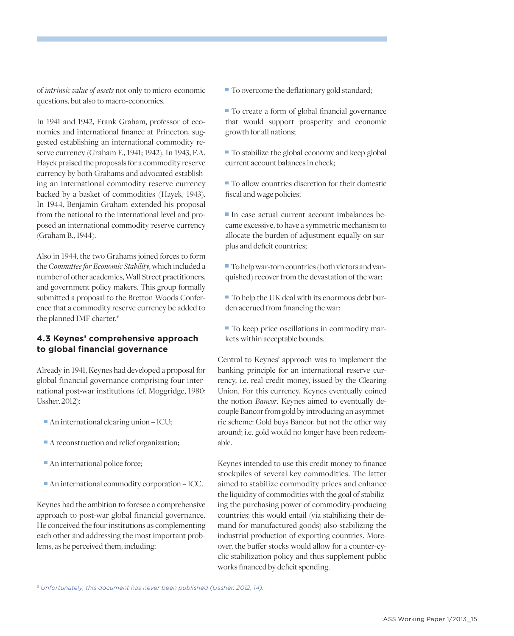of *intrinsic value of assets* not only to micro-economic questions, but also to macro-economics.

In 1941 and 1942, Frank Graham, professor of economics and international finance at Princeton, suggested establishing an international commodity reserve currency (Graham F., 1941; 1942). In 1943, F.A. Hayek praised the proposals for a commodity reserve currency by both Grahams and advocated establishing an international commodity reserve currency backed by a basket of commodities (Hayek, 1943). In 1944, Benjamin Graham extended his proposal from the national to the international level and proposed an international commodity reserve currency (Graham B., 1944).

Also in 1944, the two Grahams joined forces to form the *Committee for Economic Stability*, which included a number of other academics, Wall Street practitioners, and government policy makers. This group formally submitted a proposal to the Bretton Woods Conference that a commodity reserve currency be added to the planned IMF charter. 6

#### **4.3 Keynes' comprehensive approach to global financial governance**

Already in 1941, Keynes had developed a proposal for global financial governance comprising four international post-war institutions (cf. Moggridge, 1980; Ussher, 2012):

- An international clearing union ICU;
- A reconstruction and relief organization;
- An international police force;
- An international commodity corporation ICC.

Keynes had the ambition to foresee a comprehensive approach to post-war global financial governance. He conceived the four institutions as complementing each other and addressing the most important problems, as he perceived them, including:

 $\blacksquare$  To overcome the deflationary gold standard;

 To create a form of global financial governance that would support prosperity and economic growth for all nations;

■ To stabilize the global economy and keep global current account balances in check;

■ To allow countries discretion for their domestic fiscal and wage policies;

 In case actual current account imbalances became excessive, to have a symmetric mechanism to allocate the burden of adjustment equally on surplus and deficit countries;

 To help war-torn countries (both victors and vanquished) recover from the devastation of the war;

 To help the UK deal with its enormous debt burden accrued from financing the war;

 $\blacksquare$  To keep price oscillations in commodity markets within acceptable bounds.

Central to Keynes' approach was to implement the banking principle for an international reserve currency, i.e. real credit money, issued by the Clearing Union. For this currency, Keynes eventually coined the notion *Bancor*. Keynes aimed to eventually decouple Bancor from gold by introducing an asymmetric scheme: Gold buys Bancor, but not the other way around; i.e. gold would no longer have been redeemable.

Keynes intended to use this credit money to finance stockpiles of several key commodities. The latter aimed to stabilize commodity prices and enhance the liquidity of commodities with the goal of stabilizing the purchasing power of commodity-producing countries; this would entail (via stabilizing their demand for manufactured goods) also stabilizing the industrial production of exporting countries. Moreover, the buffer stocks would allow for a counter-cyclic stabilization policy and thus supplement public works financed by deficit spending.

*6 Unfortunately, this document has never been published (Ussher, 2012, 14).*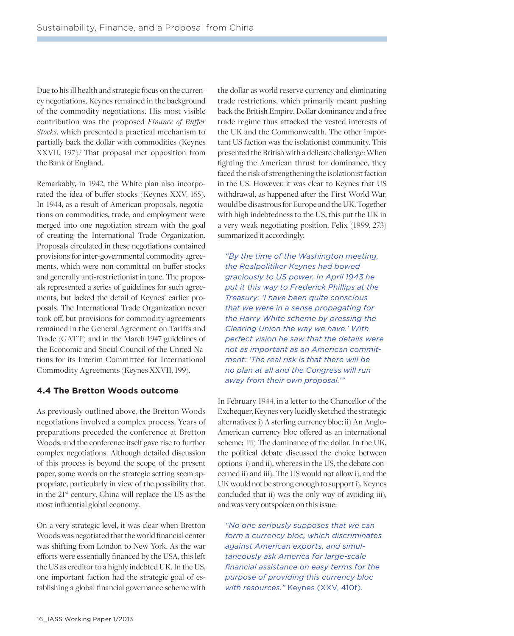Due to his ill health and strategic focus on the currency negotiations, Keynes remained in the background of the commodity negotiations. His most visible contribution was the proposed *Finance of Buffer Stocks*, which presented a practical mechanism to partially back the dollar with commodities (Keynes XXVII, 197).7 That proposal met opposition from the Bank of England.

Remarkably, in 1942, the White plan also incorporated the idea of buffer stocks (Keynes XXV, 165). In 1944, as a result of American proposals, negotiations on commodities, trade, and employment were merged into one negotiation stream with the goal of creating the International Trade Organization. Proposals circulated in these negotiations contained provisions for inter-governmental commodity agreements, which were non-committal on buffer stocks and generally anti-restrictionist in tone. The proposals represented a series of guidelines for such agreements, but lacked the detail of Keynes' earlier proposals. The International Trade Organization never took off, but provisions for commodity agreements remained in the General Agreement on Tariffs and Trade (GATT) and in the March 1947 guidelines of the Economic and Social Council of the United Nations for its Interim Committee for International Commodity Agreements (Keynes XXVII, 199).

#### **4.4 The Bretton Woods outcome**

As previously outlined above, the Bretton Woods negotiations involved a complex process. Years of preparations preceded the conference at Bretton Woods, and the conference itself gave rise to further complex negotiations. Although detailed discussion of this process is beyond the scope of the present paper, some words on the strategic setting seem appropriate, particularly in view of the possibility that, in the 21st century, China will replace the US as the most influential global economy.

On a very strategic level, it was clear when Bretton Woods was negotiated that the world financial center was shifting from London to New York. As the war efforts were essentially financed by the USA, this left the US as creditor to a highly indebted UK. In the US, one important faction had the strategic goal of establishing a global financial governance scheme with

the dollar as world reserve currency and eliminating trade restrictions, which primarily meant pushing back the British Empire. Dollar dominance and a free trade regime thus attacked the vested interests of the UK and the Commonwealth. The other important US faction was the isolationist community. This presented the British with a delicate challenge: When fighting the American thrust for dominance, they faced the risk of strengthening the isolationist faction in the US. However, it was clear to Keynes that US withdrawal, as happened after the First World War, would be disastrous for Europe and the UK. Together with high indebtedness to the US, this put the UK in a very weak negotiating position. Felix (1999, 273) summarized it accordingly:

*"By the time of the Washington meeting, the Realpolitiker Keynes had bowed graciously to US power. In April 1943 he put it this way to Frederick Phillips at the Treasury: 'I have been quite conscious that we were in a sense propagating for the Harry White scheme by pressing the Clearing Union the way we have.' With perfect vision he saw that the details were not as important as an American commitment: 'The real risk is that there will be no plan at all and the Congress will run away from their own proposal.'"*

In February 1944, in a letter to the Chancellor of the Exchequer, Keynes very lucidly sketched the strategic alternatives: i) A sterling currency bloc; ii) An Anglo-American currency bloc offered as an international scheme; iii) The dominance of the dollar. In the UK, the political debate discussed the choice between options i) and ii), whereas in the US, the debate concerned ii) and iii). The US would not allow i), and the UK would not be strong enough to support i). Keynes concluded that ii) was the only way of avoiding iii), and was very outspoken on this issue:

*"No one seriously supposes that we can form a currency bloc, which discriminates against American exports, and simultaneously ask America for large-scale financial assistance on easy terms for the purpose of providing this currency bloc with resources."* Keynes (XXV, 410f).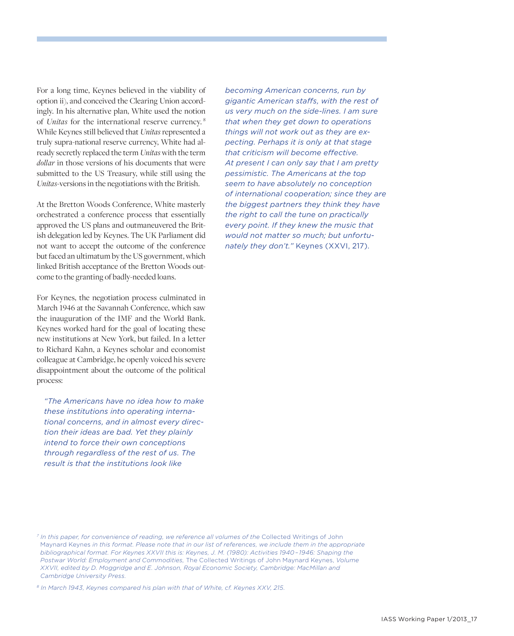For a long time, Keynes believed in the viability of option ii), and conceived the Clearing Union accordingly. In his alternative plan, White used the notion of *Unitas* for the international reserve currency.  8 While Keynes still believed that *Unitas* represented a truly supra-national reserve currency, White had already secretly replaced the term *Unitas* with the term *dollar* in those versions of his documents that were submitted to the US Treasury, while still using the *Unitas-*versions in the negotiations with the British.

At the Bretton Woods Conference, White masterly orchestrated a conference process that essentially approved the US plans and outmaneuvered the British delegation led by Keynes. The UK Parliament did not want to accept the outcome of the conference but faced an ultimatum by the US government, which linked British acceptance of the Bretton Woods outcome to the granting of badly-needed loans.

For Keynes, the negotiation process culminated in March 1946 at the Savannah Conference, which saw the inauguration of the IMF and the World Bank. Keynes worked hard for the goal of locating these new institutions at New York, but failed. In a letter to Richard Kahn, a Keynes scholar and economist colleague at Cambridge, he openly voiced his severe disappointment about the outcome of the political process:

*"The Americans have no idea how to make these institutions into operating international concerns, and in almost every direction their ideas are bad. Yet they plainly intend to force their own conceptions through regardless of the rest of us. The result is that the institutions look like* 

*becoming American concerns, run by gigantic American staffs, with the rest of us very much on the side-lines. I am sure that when they get down to operations things will not work out as they are expecting. Perhaps it is only at that stage that criticism will become effective. At present I can only say that I am pretty pessimistic. The Americans at the top seem to have absolutely no conception of international cooperation; since they are the biggest partners they think they have the right to call the tune on practically every point. If they knew the music that would not matter so much; but unfortunately they don't."* Keynes (XXVI, 217).

*<sup>7</sup> In this paper, for convenience of reading, we reference all volumes of the* Collected Writings of John Maynard Keynes *in this format. Please note that in our list of references, we include them in the appropriate bibliographical format. For Keynes XXVII this is: Keynes, J. M. (1980): Activities 1940 – 1946: Shaping the Postwar World: Employment and Commodities,* The Collected Writings of John Maynard Keynes, *Volume XXVII, edited by D. Moggridge and E. Johnson, Royal Economic Society, Cambridge: MacMillan and Cambridge University Press.*

*<sup>8</sup> In March 1943, Keynes compared his plan with that of White, cf. Keynes XXV, 215.*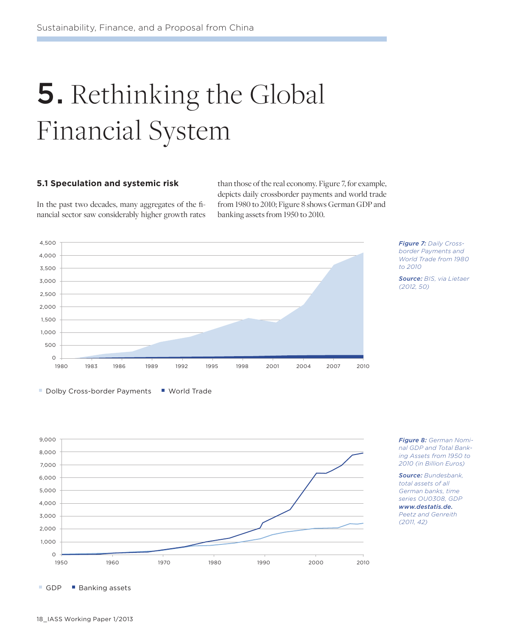# **5.** Rethinking the Global Financial System

#### **5.1 Speculation and systemic risk**

In the past two decades, many aggregates of the financial sector saw considerably higher growth rates than those of the real economy. Figure 7, for example, depicts daily crossborder payments and world trade from 1980 to 2010; Figure 8 shows German GDP and banking assets from 1950 to 2010.





*Source: BIS, via Lietaer (2012, 50)*

Dolby Cross-border Payments Vorld Trade



*Figure 8: German Nominal GDP and Total Banking Assets from 1950 to 2010 (in Billion Euros)*

*Source: Bundesbank, total assets of all German banks, time series OU0308, GDP www.destatis.de. Peetz and Genreith (2011, 42)*

GDP Banking assets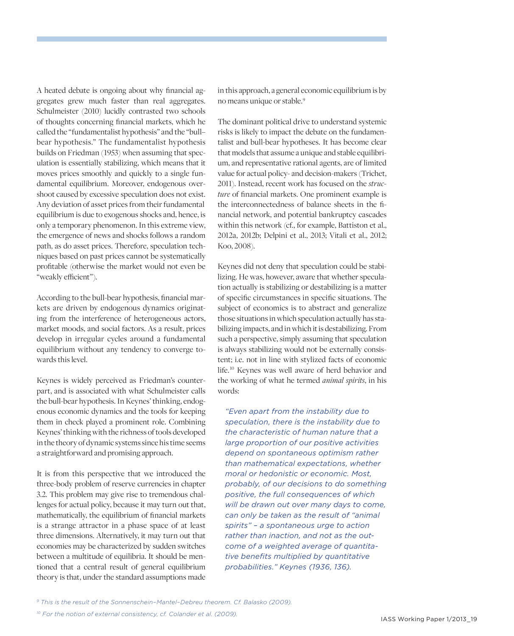A heated debate is ongoing about why financial aggregates grew much faster than real aggregates. Schulmeister (2010) lucidly contrasted two schools of thoughts concerning financial markets, which he called the "fundamentalist hypothesis" and the "bull– bear hypothesis." The fundamentalist hypothesis builds on Friedman (1953) when assuming that speculation is essentially stabilizing, which means that it moves prices smoothly and quickly to a single fundamental equilibrium. Moreover, endogenous overshoot caused by excessive speculation does not exist. Any deviation of asset prices from their fundamental equilibrium is due to exogenous shocks and, hence, is only a temporary phenomenon. In this extreme view, the emergence of news and shocks follows a random path, as do asset prices. Therefore, speculation techniques based on past prices cannot be systematically profitable (otherwise the market would not even be "weakly efficient").

According to the bull-bear hypothesis, financial markets are driven by endogenous dynamics originating from the interference of heterogeneous actors, market moods, and social factors. As a result, prices develop in irregular cycles around a fundamental equilibrium without any tendency to converge towards this level.

Keynes is widely perceived as Friedman's counterpart, and is associated with what Schulmeister calls the bull-bear hypothesis. In Keynes' thinking, endogenous economic dynamics and the tools for keeping them in check played a prominent role. Combining Keynes' thinking with the richness of tools developed in the theory of dynamic systems since his time seems a straightforward and promising approach.

It is from this perspective that we introduced the three-body problem of reserve currencies in chapter 3.2. This problem may give rise to tremendous challenges for actual policy, because it may turn out that, mathematically, the equilibrium of financial markets is a strange attractor in a phase space of at least three dimensions. Alternatively, it may turn out that economies may be characterized by sudden switches between a multitude of equilibria. It should be mentioned that a central result of general equilibrium theory is that, under the standard assumptions made

in this approach, a general economic equilibrium is by no means unique or stable. 9

The dominant political drive to understand systemic risks is likely to impact the debate on the fundamentalist and bull-bear hypotheses. It has become clear that models that assume a unique and stable equilibrium, and representative rational agents, are of limited value for actual policy- and decision-makers (Trichet, 2011). Instead, recent work has focused on the *structure* of financial markets. One prominent example is the interconnectedness of balance sheets in the financial network, and potential bankruptcy cascades within this network (cf., for example, Battiston et al., 2012a, 2012b; Delpini et al., 2013; Vitali et al., 2012; Koo, 2008).

Keynes did not deny that speculation could be stabilizing. He was, however, aware that whether speculation actually is stabilizing or destabilizing is a matter of specific circumstances in specific situations. The subject of economics is to abstract and generalize those situations in which speculation actually has stabilizing impacts, and in which it is destabilizing. From such a perspective, simply assuming that speculation is always stabilizing would not be externally consistent; i.e. not in line with stylized facts of economic life. 10 Keynes was well aware of herd behavior and the working of what he termed *animal spirits*, in his words:

*"Even apart from the instability due to speculation, there is the instability due to the characteristic of human nature that a large proportion of our positive activities depend on spontaneous optimism rather than mathematical expectations, whether moral or hedonistic or economic. Most, probably, of our decisions to do something positive, the full consequences of which will be drawn out over many days to come, can only be taken as the result of "animal spirits" – a spontaneous urge to action rather than inaction, and not as the outcome of a weighted average of quantitative benefits multiplied by quantitative probabilities." Keynes (1936, 136).*

*9 This is the result of the Sonnenschein–Mantel–Debreu theorem. Cf. Balasko (2009).*

*10 For the notion of external consistency, cf. Colander et al. (2009).*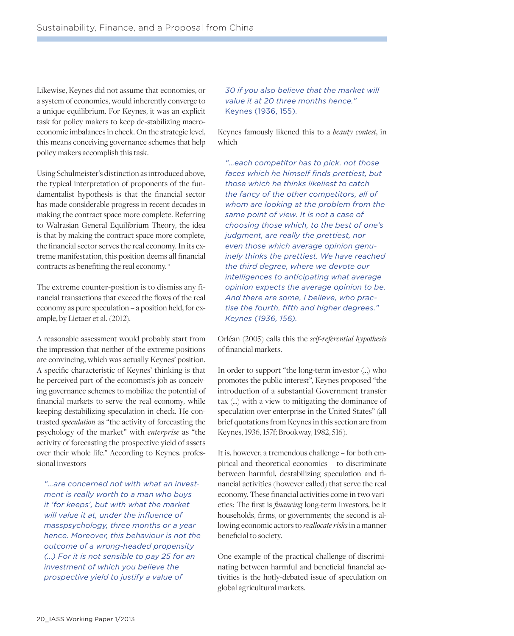Likewise, Keynes did not assume that economies, or a system of economies, would inherently converge to a unique equilibrium. For Keynes, it was an explicit task for policy makers to keep de-stabilizing macroeconomic imbalances in check. On the strategic level, this means conceiving governance schemes that help policy makers accomplish this task.

Using Schulmeister's distinction as introduced above, the typical interpretation of proponents of the fundamentalist hypothesis is that the financial sector has made considerable progress in recent decades in making the contract space more complete. Referring to Walrasian General Equilibrium Theory, the idea is that by making the contract space more complete, the financial sector serves the real economy. In its extreme manifestation, this position deems all financial contracts as benefiting the real economy.<sup>11</sup>

The extreme counter-position is to dismiss any financial transactions that exceed the flows of the real economy as pure speculation – a position held, for example, by Lietaer et al. (2012).

A reasonable assessment would probably start from the impression that neither of the extreme positions are convincing, which was actually Keynes' position. A specific characteristic of Keynes' thinking is that he perceived part of the economist's job as conceiving governance schemes to mobilize the potential of financial markets to serve the real economy, while keeping destabilizing speculation in check. He contrasted *speculation* as "the activity of forecasting the psychology of the market" with *enterprise* as "the activity of forecasting the prospective yield of assets over their whole life." According to Keynes, professional investors

*"…are concerned not with what an investment is really worth to a man who buys it 'for keeps', but with what the market will value it at, under the influence of masspsychology, three months or a year hence. Moreover, this behaviour is not the outcome of a wrong-headed propensity (…) For it is not sensible to pay 25 for an investment of which you believe the prospective yield to justify a value of* 

*30 if you also believe that the market will value it at 20 three months hence."*  Keynes (1936, 155).

Keynes famously likened this to a *beauty contest*, in which

*"…each competitor has to pick, not those faces which he himself finds prettiest, but those which he thinks likeliest to catch the fancy of the other competitors, all of whom are looking at the problem from the same point of view. It is not a case of choosing those which, to the best of one's judgment, are really the prettiest, nor even those which average opinion genuinely thinks the prettiest. We have reached the third degree, where we devote our intelligences to anticipating what average opinion expects the average opinion to be. And there are some, I believe, who practise the fourth, fifth and higher degrees." Keynes (1936, 156).*

Orléan (2005) calls this the *self-referential hypothesis* of financial markets.

In order to support "the long-term investor (…) who promotes the public interest", Keynes proposed "the introduction of a substantial Government transfer tax (…) with a view to mitigating the dominance of speculation over enterprise in the United States" (all brief quotations from Keynes in this section are from Keynes, 1936, 157f; Brookway, 1982, 516).

It is, however, a tremendous challenge – for both empirical and theoretical economics – to discriminate between harmful, destabilizing speculation and financial activities (however called) that serve the real economy. These financial activities come in two varieties: The first is *financing* long-term investors, be it households, firms, or governments; the second is allowing economic actors to *reallocate risks* in a manner beneficial to society.

One example of the practical challenge of discriminating between harmful and beneficial financial activities is the hotly-debated issue of speculation on global agricultural markets.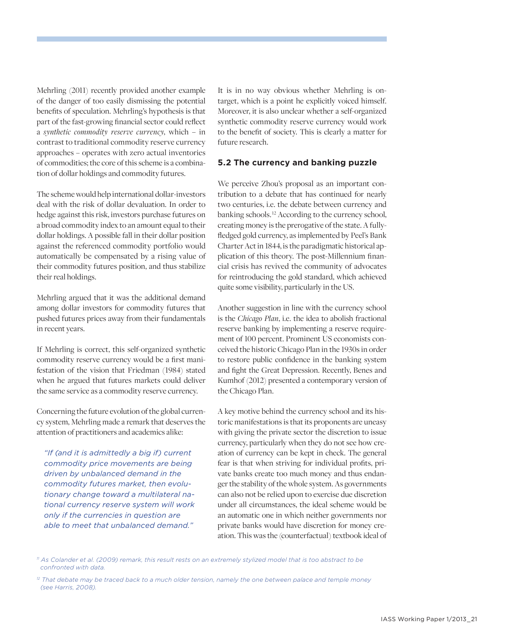Mehrling (2011) recently provided another example of the danger of too easily dismissing the potential benefits of speculation. Mehrling's hypothesis is that part of the fast-growing financial sector could reflect a *synthetic commodity reserve currency*, which – in contrast to traditional commodity reserve currency approaches – operates with zero actual inventories of commodities; the core of this scheme is a combination of dollar holdings and commodity futures.

The scheme would help international dollar-investors deal with the risk of dollar devaluation. In order to hedge against this risk, investors purchase futures on a broad commodity index to an amount equal to their dollar holdings. A possible fall in their dollar position against the referenced commodity portfolio would automatically be compensated by a rising value of their commodity futures position, and thus stabilize their real holdings.

Mehrling argued that it was the additional demand among dollar investors for commodity futures that pushed futures prices away from their fundamentals in recent years.

If Mehrling is correct, this self-organized synthetic commodity reserve currency would be a first manifestation of the vision that Friedman (1984) stated when he argued that futures markets could deliver the same service as a commodity reserve currency.

Concerning the future evolution of the global currency system, Mehrling made a remark that deserves the attention of practitioners and academics alike:

*"If (and it is admittedly a big if) current commodity price movements are being driven by unbalanced demand in the commodity futures market, then evolutionary change toward a multilateral national currency reserve system will work only if the currencies in question are able to meet that unbalanced demand."*

It is in no way obvious whether Mehrling is ontarget, which is a point he explicitly voiced himself. Moreover, it is also unclear whether a self-organized synthetic commodity reserve currency would work to the benefit of society. This is clearly a matter for future research.

#### **5.2 The currency and banking puzzle**

We perceive Zhou's proposal as an important contribution to a debate that has continued for nearly two centuries, i.e. the debate between currency and banking schools. 12 According to the currency school, creating money is the prerogative of the state. A fullyfledged gold currency, as implemented by Peel's Bank Charter Act in 1844, is the paradigmatic historical application of this theory. The post-Millennium financial crisis has revived the community of advocates for reintroducing the gold standard, which achieved quite some visibility, particularly in the US.

Another suggestion in line with the currency school is the *Chicago Plan*, i.e. the idea to abolish fractional reserve banking by implementing a reserve requirement of 100 percent. Prominent US economists conceived the historic Chicago Plan in the 1930s in order to restore public confidence in the banking system and fight the Great Depression. Recently, Benes and Kumhof (2012) presented a contemporary version of the Chicago Plan.

A key motive behind the currency school and its historic manifestations is that its proponents are uneasy with giving the private sector the discretion to issue currency, particularly when they do not see how creation of currency can be kept in check. The general fear is that when striving for individual profits, private banks create too much money and thus endanger the stability of the whole system. As governments can also not be relied upon to exercise due discretion under all circumstances, the ideal scheme would be an automatic one in which neither governments nor private banks would have discretion for money creation. This was the (counterfactual) textbook ideal of

*11 As Colander et al. (2009) remark, this result rests on an extremely stylized model that is too abstract to be confronted with data.*

*<sup>12</sup> That debate may be traced back to a much older tension, namely the one between palace and temple money (see Harris, 2008).*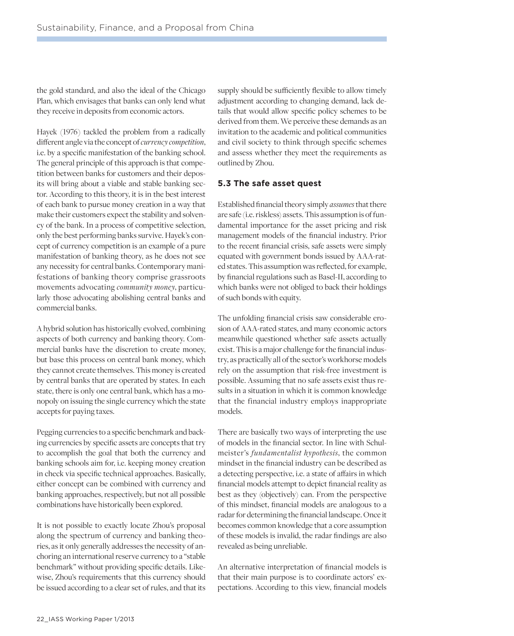the gold standard, and also the ideal of the Chicago Plan, which envisages that banks can only lend what they receive in deposits from economic actors.

Hayek (1976) tackled the problem from a radically different angle via the concept of *currency competition*, i.e. by a specific manifestation of the banking school. The general principle of this approach is that competition between banks for customers and their deposits will bring about a viable and stable banking sector. According to this theory, it is in the best interest of each bank to pursue money creation in a way that make their customers expect the stability and solvency of the bank. In a process of competitive selection, only the best performing banks survive. Hayek's concept of currency competition is an example of a pure manifestation of banking theory, as he does not see any necessity for central banks. Contemporary manifestations of banking theory comprise grassroots movements advocating *community money*, particularly those advocating abolishing central banks and commercial banks.

A hybrid solution has historically evolved, combining aspects of both currency and banking theory. Commercial banks have the discretion to create money, but base this process on central bank money, which they cannot create themselves. This money is created by central banks that are operated by states. In each state, there is only one central bank, which has a monopoly on issuing the single currency which the state accepts for paying taxes.

Pegging currencies to a specific benchmark and backing currencies by specific assets are concepts that try to accomplish the goal that both the currency and banking schools aim for, i.e. keeping money creation in check via specific technical approaches. Basically, either concept can be combined with currency and banking approaches, respectively, but not all possible combinations have historically been explored.

It is not possible to exactly locate Zhou's proposal along the spectrum of currency and banking theories, as it only generally addresses the necessity of anchoring an international reserve currency to a "stable benchmark" without providing specific details. Likewise, Zhou's requirements that this currency should be issued according to a clear set of rules, and that its

supply should be sufficiently flexible to allow timely adjustment according to changing demand, lack details that would allow specific policy schemes to be derived from them. We perceive these demands as an invitation to the academic and political communities and civil society to think through specific schemes and assess whether they meet the requirements as outlined by Zhou.

#### **5.3 The safe asset quest**

Established financial theory simply *assumes* that there are safe (i.e. riskless) assets. This assumption is of fundamental importance for the asset pricing and risk management models of the financial industry. Prior to the recent financial crisis, safe assets were simply equated with government bonds issued by AAA-rated states. This assumption was reflected, for example, by financial regulations such as Basel-II, according to which banks were not obliged to back their holdings of such bonds with equity.

The unfolding financial crisis saw considerable erosion of AAA-rated states, and many economic actors meanwhile questioned whether safe assets actually exist. This is a major challenge for the financial industry, as practically all of the sector's workhorse models rely on the assumption that risk-free investment is possible. Assuming that no safe assets exist thus results in a situation in which it is common knowledge that the financial industry employs inappropriate models.

There are basically two ways of interpreting the use of models in the financial sector. In line with Schulmeister's *fundamentalist hypothesis*, the common mindset in the financial industry can be described as a detecting perspective, i.e. a state of affairs in which financial models attempt to depict financial reality as best as they (objectively) can. From the perspective of this mindset, financial models are analogous to a radar for determining the financial landscape. Once it becomes common knowledge that a core assumption of these models is invalid, the radar findings are also revealed as being unreliable.

An alternative interpretation of financial models is that their main purpose is to coordinate actors' expectations. According to this view, financial models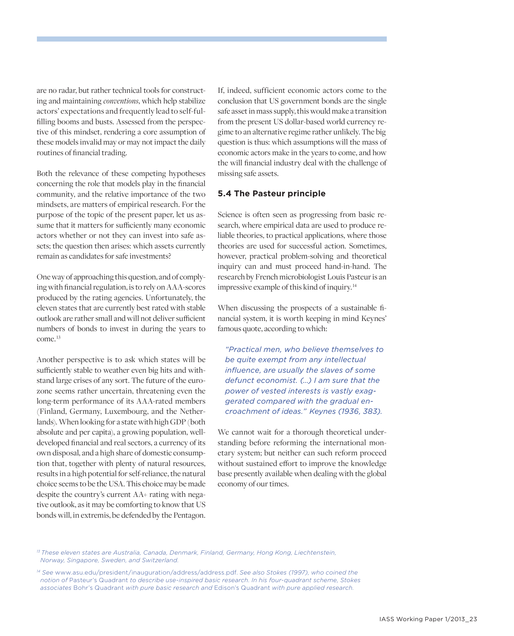are no radar, but rather technical tools for constructing and maintaining *conventions*, which help stabilize actors' expectations and frequently lead to self-fulfilling booms and busts. Assessed from the perspective of this mindset, rendering a core assumption of these models invalid may or may not impact the daily routines of financial trading.

Both the relevance of these competing hypotheses concerning the role that models play in the financial community, and the relative importance of the two mindsets, are matters of empirical research. For the purpose of the topic of the present paper, let us assume that it matters for sufficiently many economic actors whether or not they can invest into safe assets; the question then arises: which assets currently remain as candidates for safe investments?

One way of approaching this question, and of complying with financial regulation, is to rely on AAA-scores produced by the rating agencies. Unfortunately, the eleven states that are currently best rated with stable outlook are rather small and will not deliver sufficient numbers of bonds to invest in during the years to come. 13

Another perspective is to ask which states will be sufficiently stable to weather even big hits and withstand large crises of any sort. The future of the eurozone seems rather uncertain, threatening even the long-term performance of its AAA-rated members (Finland, Germany, Luxembourg, and the Netherlands). When looking for a state with high GDP (both absolute and per capita), a growing population, welldeveloped financial and real sectors, a currency of its own disposal, and a high share of domestic consumption that, together with plenty of natural resources, results in a high potential for self-reliance, the natural choice seems to be the USA. This choice may be made despite the country's current AA+ rating with negative outlook, as it may be comforting to know that US bonds will, in extremis, be defended by the Pentagon.

If, indeed, sufficient economic actors come to the conclusion that US government bonds are the single safe asset in mass supply, this would make a transition from the present US dollar-based world currency regime to an alternative regime rather unlikely. The big question is thus: which assumptions will the mass of economic actors make in the years to come, and how the will financial industry deal with the challenge of missing safe assets.

#### **5.4 The Pasteur principle**

Science is often seen as progressing from basic research, where empirical data are used to produce reliable theories, to practical applications, where those theories are used for successful action. Sometimes, however, practical problem-solving and theoretical inquiry can and must proceed hand-in-hand. The research by French microbiologist Louis Pasteur is an impressive example of this kind of inquiry. 14

When discussing the prospects of a sustainable financial system, it is worth keeping in mind Keynes' famous quote, according to which:

*"Practical men, who believe themselves to be quite exempt from any intellectual influence, are usually the slaves of some defunct economist. (…) I am sure that the power of vested interests is vastly exaggerated compared with the gradual encroachment of ideas."  Keynes (1936, 383).*

We cannot wait for a thorough theoretical understanding before reforming the international monetary system; but neither can such reform proceed without sustained effort to improve the knowledge base presently available when dealing with the global economy of our times.

*13 These eleven states are Australia, Canada, Denmark, Finland, Germany, Hong Kong, Liechtenstein, Norway, Singapore, Sweden, and Switzerland.*

*14 See* www.asu.edu/president/inauguration/address/address.pdf. *See also Stokes (1997), who coined the notion of* Pasteur's Quadrant *to describe use-inspired basic research. In his four-quadrant scheme, Stokes associates* Bohr's Quadrant *with pure basic research and* Edison's Quadrant *with pure applied research.*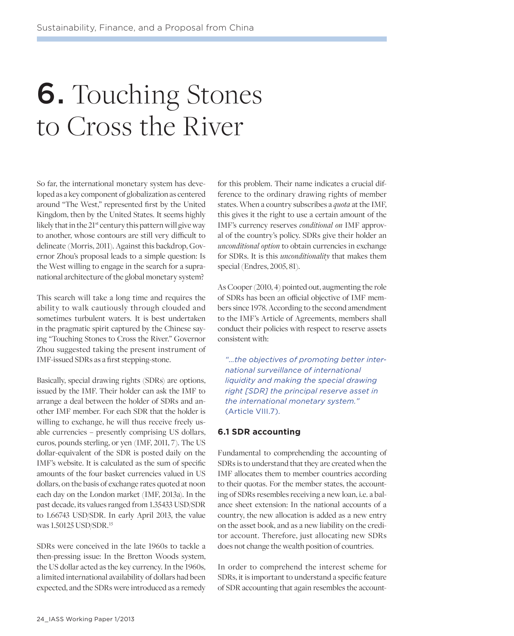## 6. Touching Stones to Cross the River

So far, the international monetary system has developed as a key component of globalization as centered around "The West," represented first by the United Kingdom, then by the United States. It seems highly likely that in the 21<sup>st</sup> century this pattern will give way to another, whose contours are still very difficult to delineate (Morris, 2011). Against this backdrop, Governor Zhou's proposal leads to a simple question: Is the West willing to engage in the search for a supranational architecture of the global monetary system?

This search will take a long time and requires the ability to walk cautiously through clouded and sometimes turbulent waters. It is best undertaken in the pragmatic spirit captured by the Chinese saying "Touching Stones to Cross the River." Governor Zhou suggested taking the present instrument of IMF-issued SDRs as a first stepping-stone.

Basically, special drawing rights (SDRs) are options, issued by the IMF. Their holder can ask the IMF to arrange a deal between the holder of SDRs and another IMF member. For each SDR that the holder is willing to exchange, he will thus receive freely usable currencies – presently comprising US dollars, euros, pounds sterling, or yen (IMF, 2011, 7). The US dollar-equivalent of the SDR is posted daily on the IMF's website. It is calculated as the sum of specific amounts of the four basket currencies valued in US dollars, on the basis of exchange rates quoted at noon each day on the London market (IMF, 2013a). In the past decade, its values ranged from 1.35433 USD/SDR to 1.66743 USD/SDR. In early April 2013, the value was 1.50125 USD/SDR. 15

SDRs were conceived in the late 1960s to tackle a then-pressing issue: In the Bretton Woods system, the US dollar acted as the key currency. In the 1960s, a limited international availability of dollars had been expected, and the SDRs were introduced as a remedy

for this problem. Their name indicates a crucial difference to the ordinary drawing rights of member states. When a country subscribes a *quota* at the IMF, this gives it the right to use a certain amount of the IMF's currency reserves *conditional on* IMF approval of the country's policy. SDRs give their holder an *unconditional option* to obtain currencies in exchange for SDRs. It is this *unconditionality* that makes them special (Endres, 2005, 81).

As Cooper (2010, 4) pointed out, augmenting the role of SDRs has been an official objective of IMF members since 1978. According to the second amendment to the IMF's Article of Agreements, members shall conduct their policies with respect to reserve assets consistent with:

*"…the objectives of promoting better international surveillance of international liquidity and making the special drawing right [SDR] the principal reserve asset in the international monetary system."*  (Article VIII.7).

#### **6.1 SDR accounting**

Fundamental to comprehending the accounting of SDRs is to understand that they are created when the IMF allocates them to member countries according to their quotas. For the member states, the accounting of SDRs resembles receiving a new loan, i.e. a balance sheet extension: In the national accounts of a country, the new allocation is added as a new entry on the asset book, and as a new liability on the creditor account. Therefore, just allocating new SDRs does not change the wealth position of countries.

In order to comprehend the interest scheme for SDRs, it is important to understand a specific feature of SDR accounting that again resembles the account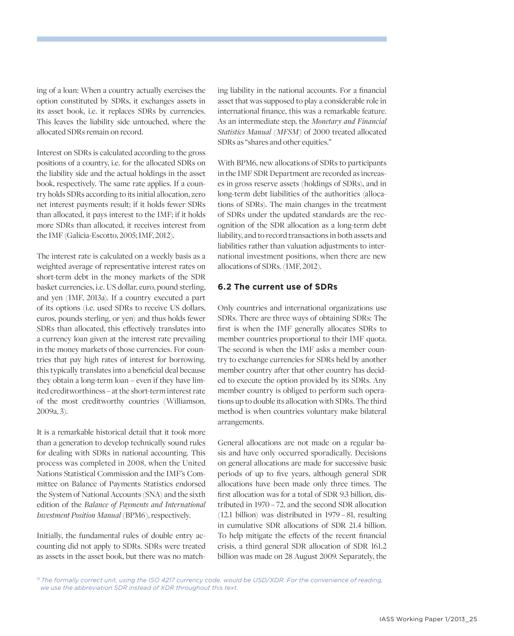ing of a loan: When a country actually exercises the option constituted by SDRs, it exchanges assets in its asset book, i.e. it replaces SDRs by currencies. This leaves the liability side untouched, where the allocated SDRs remain on record.

Interest on SDRs is calculated according to the gross positions of a country, i.e. for the allocated SDRs on the liability side and the actual holdings in the asset book, respectively. The same rate applies. If a country holds SDRs according to its initial allocation, zero net interest payments result; if it holds fewer SDRs than allocated, it pays interest to the IMF; if it holds more SDRs than allocated, it receives interest from the IMF (Galicia-Escotto, 2005; IMF, 2012).

The interest rate is calculated on a weekly basis as a weighted average of representative interest rates on short-term debt in the money markets of the SDR basket currencies, i.e. US dollar, euro, pound sterling, and yen (IMF, 2013a). If a country executed a part of its options (i.e. used SDRs to receive US dollars, euros, pounds sterling, or yen) and thus holds fewer SDRs than allocated, this effectively translates into a currency loan given at the interest rate prevailing in the money markets of those currencies. For countries that pay high rates of interest for borrowing, this typically translates into a beneficial deal because they obtain a long-term loan – even if they have limited creditworthiness – at the short-term interest rate of the most creditworthy countries (Williamson, 2009a, 3).

It is a remarkable historical detail that it took more than a generation to develop technically sound rules for dealing with SDRs in national accounting. This process was completed in 2008, when the United Nations Statistical Commission and the IMF's Committee on Balance of Payments Statistics endorsed the System of National Accounts (SNA) and the sixth edition of the *Balance of Payments and International Investment Position Manual* (BPM6), respectively.

Initially, the fundamental rules of double entry accounting did not apply to SDRs. SDRs were treated as assets in the asset book, but there was no matching liability in the national accounts. For a financial asset that was supposed to play a considerable role in international finance, this was a remarkable feature. As an intermediate step, the *Monetary and Financial Statistics Manual (MFSM)* of 2000 treated allocated SDRs as "shares and other equities."

With BPM6, new allocations of SDRs to participants in the IMF SDR Department are recorded as increases in gross reserve assets (holdings of SDRs), and in long-term debt liabilities of the authorities (allocations of SDRs). The main changes in the treatment of SDRs under the updated standards are the recognition of the SDR allocation as a long-term debt liability, and to record transactions in both assets and liabilities rather than valuation adjustments to international investment positions, when there are new allocations of SDRs. (IMF, 2012).

#### **6.2 The current use of SDRs**

Only countries and international organizations use SDRs. There are three ways of obtaining SDRs: The first is when the IMF generally allocates SDRs to member countries proportional to their IMF quota. The second is when the IMF asks a member country to exchange currencies for SDRs held by another member country after that other country has decided to execute the option provided by its SDRs. Any member country is obliged to perform such operations up to double its allocation with SDRs. The third method is when countries voluntary make bilateral arrangements.

General allocations are not made on a regular basis and have only occurred sporadically. Decisions on general allocations are made for successive basic periods of up to five years, although general SDR allocations have been made only three times. The first allocation was for a total of SDR 9.3 billion, distributed in 1970 – 72, and the second SDR allocation (12.1 billion) was distributed in 1979  –  81, resulting in cumulative SDR allocations of SDR 21.4 billion. To help mitigate the effects of the recent financial crisis, a third general SDR allocation of SDR 161.2 billion was made on 28 August 2009. Separately, the

*<sup>15</sup> The formally correct unit, using the ISO 4217 currency code, would be USD/XDR. For the convenience of reading, we use the abbreviation SDR instead of XDR throughout this text.*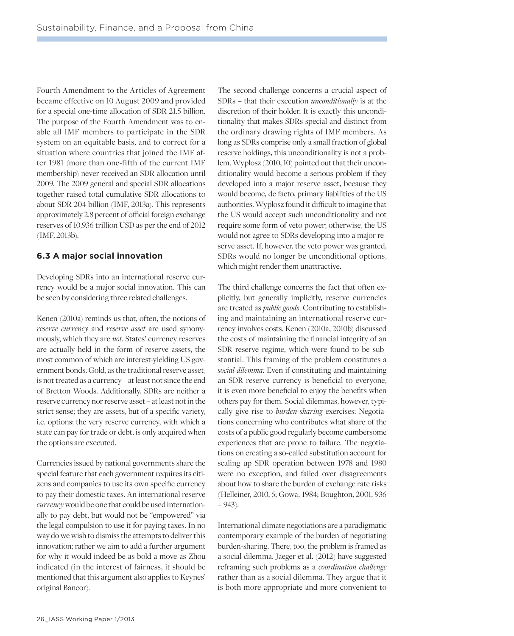Fourth Amendment to the Articles of Agreement became effective on 10 August 2009 and provided for a special one-time allocation of SDR 21.5 billion. The purpose of the Fourth Amendment was to enable all IMF members to participate in the SDR system on an equitable basis, and to correct for a situation where countries that joined the IMF after 1981 (more than one-fifth of the current IMF membership) never received an SDR allocation until 2009. The 2009 general and special SDR allocations together raised total cumulative SDR allocations to about SDR 204 billion (IMF, 2013a). This represents approximately 2.8 percent of official foreign exchange reserves of 10,936 trillion USD as per the end of 2012 (IMF, 2013b).

#### **6.3 A major social innovation**

Developing SDRs into an international reserve currency would be a major social innovation. This can be seen by considering three related challenges.

Kenen (2010a) reminds us that, often, the notions of *reserve currency* and *reserve asset* are used synonymously, which they are *not*. States' currency reserves are actually held in the form of reserve assets, the most common of which are interest-yielding US government bonds. Gold, as the traditional reserve asset, is not treated as a currency – at least not since the end of Bretton Woods. Additionally, SDRs are neither a reserve currency nor reserve asset – at least not in the strict sense; they are assets, but of a specific variety, i.e. options; the very reserve currency, with which a state can pay for trade or debt, is only acquired when the options are executed.

Currencies issued by national governments share the special feature that each government requires its citizens and companies to use its own specific currency to pay their domestic taxes. An international reserve *currency* would be one that could be used internationally to pay debt, but would not be "empowered" via the legal compulsion to use it for paying taxes. In no way do we wish to dismiss the attempts to deliver this innovation; rather we aim to add a further argument for why it would indeed be as bold a move as Zhou indicated (in the interest of fairness, it should be mentioned that this argument also applies to Keynes' original Bancor).

The second challenge concerns a crucial aspect of SDRs – that their execution *unconditionally* is at the discretion of their holder. It is exactly this unconditionality that makes SDRs special and distinct from the ordinary drawing rights of IMF members. As long as SDRs comprise only a small fraction of global reserve holdings, this unconditionality is not a problem. Wyplosz (2010, 10) pointed out that their unconditionality would become a serious problem if they developed into a major reserve asset, because they would become, de facto, primary liabilities of the US authorities. Wyplosz found it difficult to imagine that the US would accept such unconditionality and not require some form of veto power; otherwise, the US would not agree to SDRs developing into a major reserve asset. If, however, the veto power was granted, SDRs would no longer be unconditional options, which might render them unattractive.

The third challenge concerns the fact that often explicitly, but generally implicitly, reserve currencies are treated as *public goods*. Contributing to establishing and maintaining an international reserve currency involves costs. Kenen (2010a, 2010b) discussed the costs of maintaining the financial integrity of an SDR reserve regime, which were found to be substantial. This framing of the problem constitutes a *social dilemma:* Even if constituting and maintaining an SDR reserve currency is beneficial to everyone, it is even more beneficial to enjoy the benefits when others pay for them. Social dilemmas, however, typically give rise to *burden-sharing* exercises: Negotiations concerning who contributes what share of the costs of a public good regularly become cumbersome experiences that are prone to failure. The negotiations on creating a so-called substitution account for scaling up SDR operation between 1978 and 1980 were no exception, and failed over disagreements about how to share the burden of exchange rate risks (Helleiner, 2010, 5; Gowa, 1984; Boughton, 2001, 936  $-943$ ).

International climate negotiations are a paradigmatic contemporary example of the burden of negotiating burden-sharing. There, too, the problem is framed as a social dilemma. Jaeger et al. (2012) have suggested reframing such problems as a *coordination challenge*  rather than as a social dilemma. They argue that it is both more appropriate and more convenient to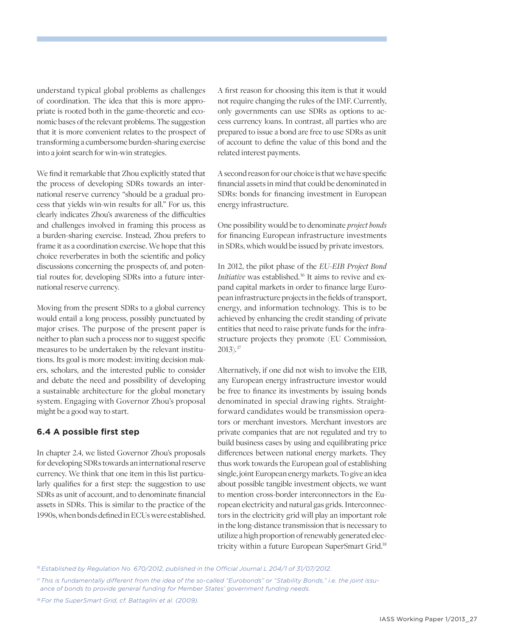understand typical global problems as challenges of coordination. The idea that this is more appropriate is rooted both in the game-theoretic and economic bases of the relevant problems. The suggestion that it is more convenient relates to the prospect of transforming a cumbersome burden-sharing exercise into a joint search for win-win strategies.

We find it remarkable that Zhou explicitly stated that the process of developing SDRs towards an international reserve currency "should be a gradual process that yields win-win results for all." For us, this clearly indicates Zhou's awareness of the difficulties and challenges involved in framing this process as a burden-sharing exercise. Instead, Zhou prefers to frame it as a coordination exercise. We hope that this choice reverberates in both the scientific and policy discussions concerning the prospects of, and potential routes for, developing SDRs into a future international reserve currency.

Moving from the present SDRs to a global currency would entail a long process, possibly punctuated by major crises. The purpose of the present paper is neither to plan such a process nor to suggest specific measures to be undertaken by the relevant institutions. Its goal is more modest: inviting decision makers, scholars, and the interested public to consider and debate the need and possibility of developing a sustainable architecture for the global monetary system. Engaging with Governor Zhou's proposal might be a good way to start.

#### **6.4 A possible first step**

In chapter 2.4, we listed Governor Zhou's proposals for developing SDRs towards an international reserve currency. We think that one item in this list particularly qualifies for a first step: the suggestion to use SDRs as unit of account, and to denominate financial assets in SDRs. This is similar to the practice of the 1990s, when bonds defined in ECUs were established.

A first reason for choosing this item is that it would not require changing the rules of the IMF. Currently, only governments can use SDRs as options to access currency loans. In contrast, all parties who are prepared to issue a bond are free to use SDRs as unit of account to define the value of this bond and the related interest payments.

A second reason for our choice is that we have specific financial assets in mind that could be denominated in SDRs: bonds for financing investment in European energy infrastructure.

One possibility would be to denominate *project bonds* for financing European infrastructure investments in SDRs, which would be issued by private investors.

In 2012, the pilot phase of the *EU-EIB Project Bond Initiative* was established.<sup>16</sup> It aims to revive and expand capital markets in order to finance large European infrastructure projects in the fields of transport, energy, and information technology. This is to be achieved by enhancing the credit standing of private entities that need to raise private funds for the infrastructure projects they promote (EU Commission, 2013). 17

Alternatively, if one did not wish to involve the EIB, any European energy infrastructure investor would be free to finance its investments by issuing bonds denominated in special drawing rights. Straightforward candidates would be transmission operators or merchant investors. Merchant investors are private companies that are not regulated and try to build business cases by using and equilibrating price differences between national energy markets. They thus work towards the European goal of establishing single, joint European energy markets. To give an idea about possible tangible investment objects, we want to mention cross-border interconnectors in the European electricity and natural gas grids. Interconnectors in the electricity grid will play an important role in the long-distance transmission that is necessary to utilize a high proportion of renewably generated electricity within a future European SuperSmart Grid.<sup>18</sup>

*<sup>16</sup> Established by Regulation No. 670/2012, published in the Official Journal L 204/1 of 31/07/2012.*

*<sup>17</sup> This is fundamentally different from the idea of the so-called "Eurobonds" or "Stability Bonds," i.e. the joint issuance of bonds to provide general funding for Member States' government funding needs.*

*<sup>18</sup> For the SuperSmart Grid, cf. Battaglini et al. (2009).*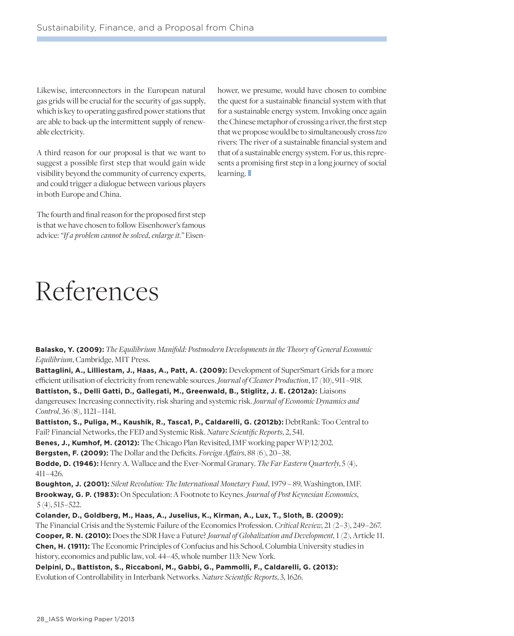Likewise, interconnectors in the European natural gas grids will be crucial for the security of gas supply, which is key to operating gasfired power stations that are able to back-up the intermittent supply of renewable electricity.

A third reason for our proposal is that we want to suggest a possible first step that would gain wide visibility beyond the community of currency experts, and could trigger a dialogue between various players in both Europe and China.

The fourth and final reason for the proposed first step is that we have chosen to follow Eisenhower's famous advice: *"If a problem cannot be solved, enlarge it."* Eisen-

References

hower, we presume, would have chosen to combine the quest for a sustainable financial system with that for a sustainable energy system. Invoking once again the Chinese metaphor of crossing a river, the first step that we propose would be to simultaneously cross *two* rivers: The river of a sustainable financial system and that of a sustainable energy system. For us, this represents a promising first step in a long journey of social learning.

**Balasko, Y. (2009):** *The Equilibrium Manifold: Postmodern Developments in the Theory of General Economic Equilibrium*, Cambridge, MIT Press.

**Battaglini, A., Lilliestam, J., Haas, A., Patt, A. (2009):** Development of SuperSmart Grids for a more efficient utilisation of electricity from renewable sources. *Journal of Cleaner Production*, 17 (10), 911 – 918. **Battiston, S., Delli Gatti, D., Gallegati, M., Greenwald, B., Stiglitz, J. E. (2012a):** Liaisons dangereuses: Increasing connectivity, risk sharing and systemic risk. *Journal of Economic Dynamics and Control*, 36 (8), 1121 – 1141.

**Battiston, S., Puliga, M., Kaushik, R., Tasca1, P., Caldarelli, G. (2012b):** DebtRank: Too Central to Fail? Financial Networks, the FED and Systemic Risk. *Nature Scientific Reports*, 2, 541.

**Benes, J., Kumhof, M. (2012):** The Chicago Plan Revisited, IMF working paper WP/12/202.

**Bergsten, F. (2009):** The Dollar and the Deficits. *Foreign Affairs*, 88 (6), 20 – 38.

**Bodde, D. (1946):** Henry A. Wallace and the Ever-Normal Granary. *The Far Eastern Quarterly*, 5 (4), 411 – 426.

**Boughton, J. (2001):** *Silent Revolution: The International Monetary Fund*, 1979 – 89, Washington, IMF. **Brookway, G. P. (1983):** On Speculation: A Footnote to Keynes. *Journal of Post Keynesian Economics*, 5 (4), 515 – 522.

**Colander, D., Goldberg, M., Haas, A., Juselius, K., Kirman, A., Lux, T., Sloth, B. (2009):** The Financial Crisis and the Systemic Failure of the Economics Profession. *Critical Review*, 21 (2 – 3), 249 – 267. **Cooper, R. N. (2010):** Does the SDR Have a Future? *Journal of Globalization and Development*, 1 (2), Article 11. **Chen, H. (1911):** The Economic Principles of Confucius and his School, Columbia University studies in history, economics and public law, vol. 44–45, whole number 113: New York.

**Delpini, D., Battiston, S., Riccaboni, M., Gabbi, G., Pammolli, F., Caldarelli, G. (2013):** Evolution of Controllability in Interbank Networks. *Nature Scientific Reports*, 3, 1626.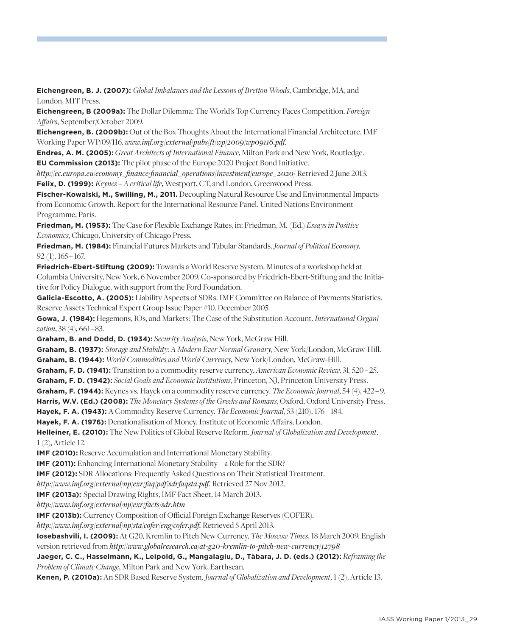**Eichengreen, B. J. (2007):** *Global Imbalances and the Lessons of Bretton Woods*, Cambridge, MA, and London, MIT Press.

**Eichengreen, B (2009a):** The Dollar Dilemma: The World's Top Currency Faces Competition. *Foreign Affairs*, September/October 2009.

**Eichengreen, B. (2009b):** Out of the Box Thoughts About the International Financial Architecture, IMF Working Paper WP/09/116. *www.imf.org/external/pubs/ft/wp/2009/wp09116.pdf.*

**Endres, A. M. (2005):** *Great Architects of International Finance*, Milton Park and New York, Routledge. **EU Commission (2013):** The pilot phase of the Europe 2020 Project Bond Initiative.

*http://ec.europa.eu/economy\_finance/financial\_operations/investment/europe\_2020/* Retrieved 2 June 2013. **Felix, D. (1999):** *Keynes – A critical life*, Westport, CT, and London, Greenwood Press.

**Fischer-Kowalski, M., Swilling, M., 2011.** Decoupling Natural Resource Use and Environmental Impacts from Economic Growth. Report for the International Resource Panel. United Nations Environment Programme, Paris.

**Friedman, M. (1953):** The Case for Flexible Exchange Rates, in: Friedman, M. (Ed.) *Essays in Positive Economics*, Chicago, University of Chicago Press.

**Friedman, M. (1984):** Financial Futures Markets and Tabular Standards. *Journal of Political Economy*, 92 (1), 165 – 167.

**Friedrich-Ebert-Stiftung (2009):** Towards a World Reserve System. Minutes of a workshop held at Columbia University, New York, 6 November 2009. Co-sponsored by Friedrich-Ebert-Stiftung and the Initiative for Policy Dialogue, with support from the Ford Foundation.

**Galicia-Escotto, A. (2005):** Liability Aspects of SDRs. IMF Committee on Balance of Payments Statistics. Reserve Assets Technical Expert Group Issue Paper #10. December 2005.

**Gowa, J. (1984):** Hegemons, IOs, and Markets: The Case of the Substitution Account. *International Organization*, 38 (4), 661 – 83.

**Graham, B. and Dodd, D. (1934):** *Security Analysis*, New York, McGraw Hill.

**Graham, B. (1937):** *Storage and Stability: A Modern Ever Normal Granary*, New York/London, McGraw-Hill.

**Graham, B. (1944):** *World Commodities and World Currency,* New York/London, McGraw-Hill.

**Graham, F. D. (1941):** Transition to a commodity reserve currency. *American Economic Review*, 31, 520 – 25.

**Graham, F. D. (1942):** *Social Goals and Economic Institutions*, Princeton, NJ, Princeton University Press.

**Graham, F. (1944):** Keynes vs. Hayek on a commodity reserve currency. *The Economic Journal*, 54 (4), 422 – 9.

**Harris, W.V. (Ed.) (2008):** *The Monetary Systems of the Greeks and Romans*, Oxford, Oxford University Press.

**Hayek, F. A. (1943):** A Commodity Reserve Currency. *The Economic Journal*, 53 (210), 176   – 184.

**Hayek, F. A. (1976):** Denationalisation of Money. Institute of Economic Affairs, London.

**Helleiner, E. (2010):** The New Politics of Global Reserve Reform. *Journal of Globalization and Development*, 1 (2), Article 12.

**IMF (2010):** Reserve Accumulation and International Monetary Stability.

**IMF (2011):** Enhancing International Monetary Stability – a Role for the SDR?

**IMF (2012):** SDR Allocations: Frequently Asked Questions on Their Statistical Treatment.

*http://www.imf.org/external/np/exr/faq/pdf/sdrfaqsta.pdf.* Retrieved 27 Nov 2012.

**IMF (2013a):** Special Drawing Rights, IMF Fact Sheet, 14 March 2013.

*http://www.imf.org/external/np/exr/facts/sdr.htm*

**IMF (2013b):** Currency Composition of Official Foreign Exchange Reserves (COFER).

*http://www.imf.org/external/np/sta/cofer/eng/cofer.pdf.* Retrieved 5 April 2013.

**Iosebashvili, I. (2009):** At G20, Kremlin to Pitch New Currency, *The Moscow Times*, 18 March 2009. English version retrieved from *http://www.globalresearch.ca/at-g20-kremlin-to-pitch-new-currency/12798*

#### **Jaeger, C. C., Hasselmann, K., Leipold, G., Mangalagiu, D., Tàbara, J. D. (eds.) (2012):** *Reframing the Problem of Climate Change*, Milton Park and New York, Earthscan*.*

**Kenen, P. (2010a):** An SDR Based Reserve System. *Journal of Globalization and Development*, 1 (2), Article 13.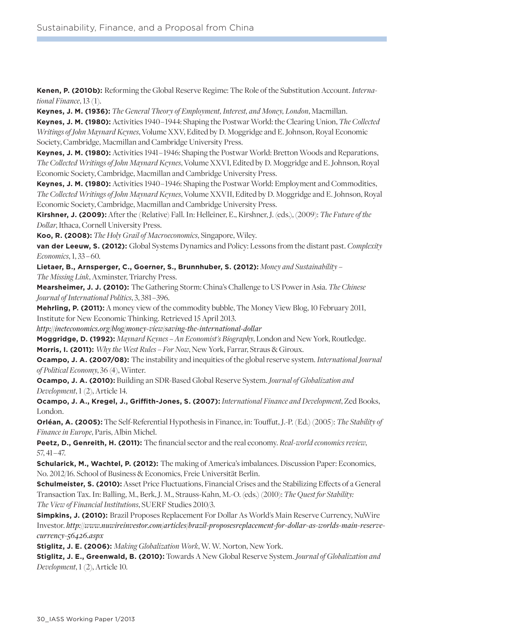**Kenen, P. (2010b):** Reforming the Global Reserve Regime: The Role of the Substitution Account. *International Finance*, 13 (1).

**Keynes, J. M. (1936):** *The General Theory of Employment, Interest, and Money, London*, Macmillan. **Keynes, J. M. (1980):** Activities 1940 – 1944: Shaping the Postwar World: the Clearing Union, *The Collected Writings of John Maynard Keynes*, Volume XXV, Edited by D. Moggridge and E. Johnson, Royal Economic Society, Cambridge, Macmillan and Cambridge University Press.

**Keynes, J. M. (1980):** Activities 1941 – 1946: Shaping the Postwar World: Bretton Woods and Reparations, *The Collected Writings of John Maynard Keynes*, Volume XXVI, Edited by D. Moggridge and E. Johnson, Royal Economic Society, Cambridge, Macmillan and Cambridge University Press.

**Keynes, J. M. (1980):** Activities 1940 – 1946: Shaping the Postwar World: Employment and Commodities, *The Collected Writings of John Maynard Keynes*, Volume XXVII, Edited by D. Moggridge and E. Johnson, Royal Economic Society, Cambridge, Macmillan and Cambridge University Press.

**Kirshner, J. (2009):** After the (Relative) Fall. In: Helleiner, E., Kirshner, J. (eds.), (2009): *The Future of the Dollar*, Ithaca, Cornell University Press.

**Koo, R. (2008):** *The Holy Grail of Macroeconomics*, Singapore, Wiley.

**van der Leeuw, S. (2012):** Global Systems Dynamics and Policy: Lessons from the distant past. *Complexity Economics*, 1, 33 – 60.

**Lietaer, B., Arnsperger, C., Goerner, S., Brunnhuber, S. (2012):** *Money and Sustainability – The Missing Link*, Axminster, Triarchy Press.

**Mearsheimer, J. J. (2010):** The Gathering Storm: China's Challenge to US Power in Asia. *The Chinese Journal of International Politics*, 3, 381 – 396.

**Mehrling, P. (2011):** A money view of the commodity bubble, The Money View Blog, 10 February 2011, Institute for New Economic Thinking. Retrieved 15 April 2013.

*http://ineteconomics.org/blog/money-view/saving-the-international-dollar*

**Moggridge, D. (1992):** *Maynard Keynes – An Economist's Biography*, London and New York, Routledge. **Morris, I. (2011):** *Why the West Rules – For Now*, New York, Farrar, Straus & Giroux.

**Ocampo, J. A. (2007/08):** The instability and inequities of the global reserve system. *International Journal of Political Economy*, 36 (4), Winter.

**Ocampo, J. A. (2010):** Building an SDR-Based Global Reserve System. *Journal of Globalization and Development*, 1 (2), Article 14.

**Ocampo, J. A., Kregel, J., Griffith-Jones, S. (2007):** *International Finance and Development*, Zed Books, London.

**Orléan, A. (2005):** The Self-Referential Hypothesis in Finance, in: Touffut, J.-P. (Ed.) (2005): *The Stability of Finance in Europe*, Paris, Albin Michel.

**Peetz, D., Genreith, H. (2011):** The financial sector and the real economy. *Real-world economics review*, 57, 41 – 47.

**Schularick, M., Wachtel, P. (2012):** The making of America's imbalances. Discussion Paper: Economics, No. 2012/16. School of Business & Economics, Freie Universität Berlin.

**Schulmeister, S. (2010):** Asset Price Fluctuations, Financial Crises and the Stabilizing Effects of a General Transaction Tax. In: Balling, M., Berk, J. M., Strauss-Kahn, M.-O. (eds.) (2010): *The Quest for Stability: The View of Financial Institutions*, SUERF Studies 2010/3.

**Simpkins, J. (2010):** Brazil Proposes Replacement For Dollar As World's Main Reserve Currency, NuWire Investor. *http://www.nuwireinvestor.com/articles/brazil-proposesreplacement-for-dollar-as-worlds-main-reservecurrency-56426.aspx*

**Stiglitz, J. E. (2006):** *Making Globalization Work*, W. W. Norton, New York.

**Stiglitz, J. E., Greenwald, B. (2010):** Towards A New Global Reserve System. *Journal of Globalization and Development*, 1 (2), Article 10.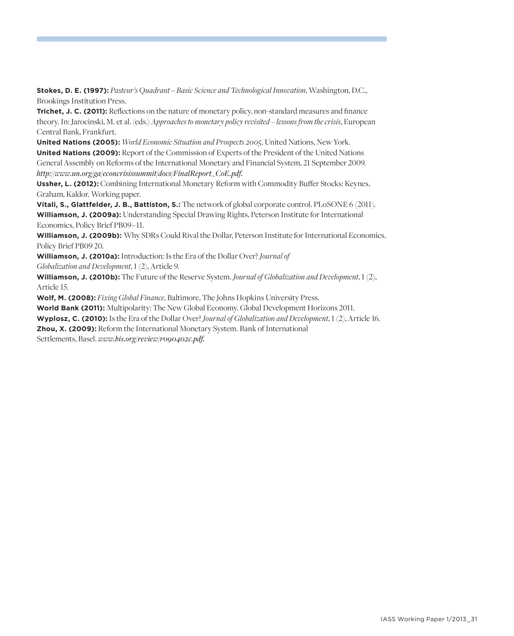**Stokes, D. E. (1997):** *Pasteur's Quadrant – Basic Science and Technological Innovation*, Washington, D.C., Brookings Institution Press.

**Trichet, J. C. (2011):** Reflections on the nature of monetary policy, non-standard measures and finance theory. In: Jarocinski, M. et al. (eds.) *Approaches to monetary policy revisited – lessons from the crisis*, European Central Bank, Frankfurt.

**United Nations (2005):** *World Economic Situation and Prospects 2005*, United Nations, New York. **United Nations (2009):** Report of the Commission of Experts of the President of the United Nations General Assembly on Reforms of the International Monetary and Financial System, 21 September 2009. *http://www.un.org/ga/econcrisissummit/docs/FinalReport\_CoE.pdf.*

**Ussher, L. (2012):** Combining International Monetary Reform with Commodity Buffer Stocks: Keynes, Graham, Kaldor. Working paper.

**Vitali, S., Glattfelder, J. B., Battiston, S.:** The network of global corporate control. PLoSONE 6 (2011). **Williamson, J. (2009a):** Understanding Special Drawing Rights, Peterson Institute for International Economics, Policy Brief PB09-11.

**Williamson, J. (2009b):** Why SDRs Could Rival the Dollar, Peterson Institute for International Economics, Policy Brief PB09 20.

**Williamson, J. (2010a):** Introduction: Is the Era of the Dollar Over? *Journal of*

*Globalization and Development*, 1 (2), Article 9.

**Williamson, J. (2010b):** The Future of the Reserve System. *Journal of Globalization and Development*, 1 (2), Article 15.

**Wolf, M. (2008):** *Fixing Global Finance*, Baltimore, The Johns Hopkins University Press.

**World Bank (2011):** Multipolarity: The New Global Economy. Global Development Horizons 2011.

**Wyplosz, C. (2010):** Is the Era of the Dollar Over? *Journal of Globalization and Development*, 1 (2), Article 16.

**Zhou, X. (2009):** Reform the International Monetary System. Bank of International

Settlements, Basel. *www.bis.org/review/r090402c.pdf.*